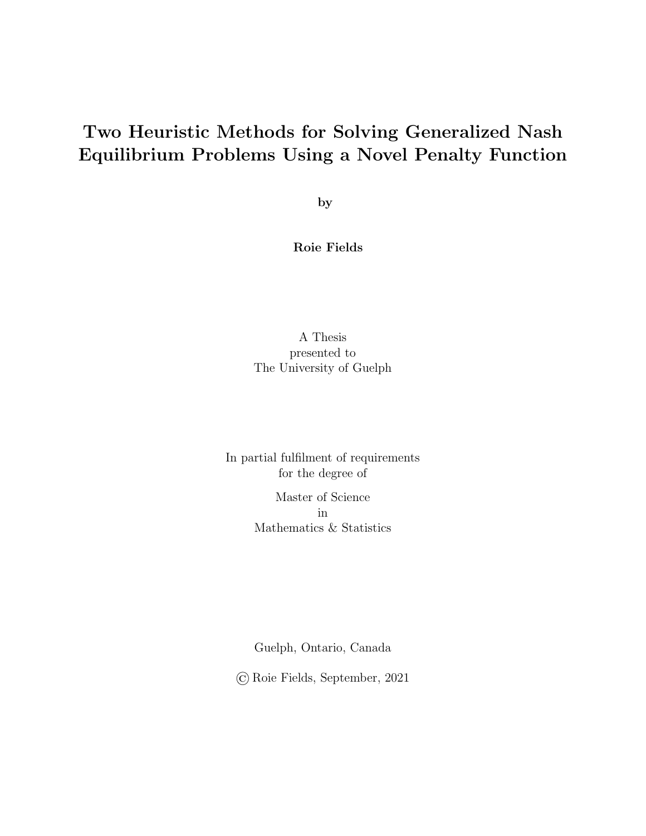### Two Heuristic Methods for Solving Generalized Nash Equilibrium Problems Using a Novel Penalty Function

by

Roie Fields

#### A Thesis presented to The University of Guelph

In partial fulfilment of requirements for the degree of

> Master of Science in Mathematics & Statistics

> Guelph, Ontario, Canada

© Roie Fields, September, 2021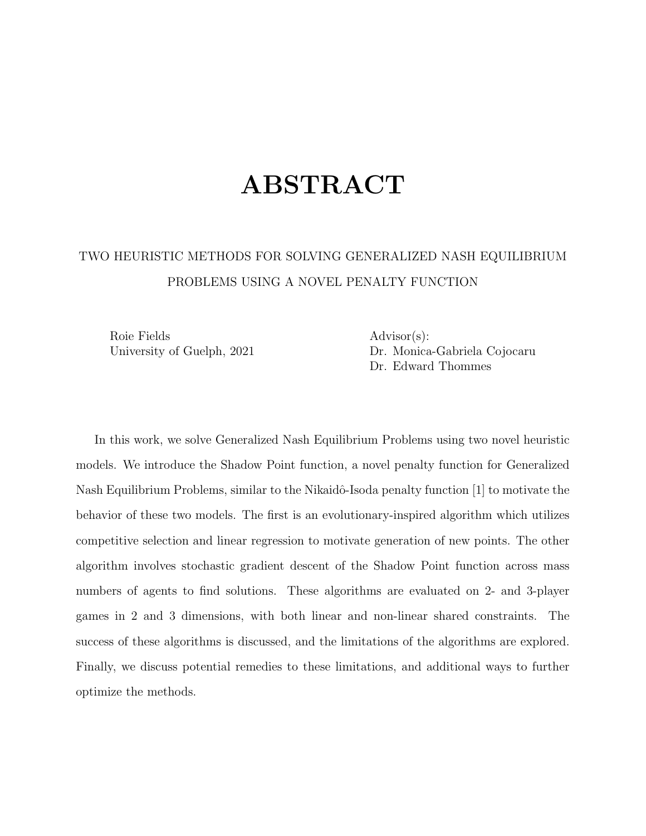### ABSTRACT

### TWO HEURISTIC METHODS FOR SOLVING GENERALIZED NASH EQUILIBRIUM PROBLEMS USING A NOVEL PENALTY FUNCTION

Roie Fields Advisor(s):

University of Guelph, 2021 Dr. Monica-Gabriela Cojocaru Dr. Edward Thommes

In this work, we solve Generalized Nash Equilibrium Problems using two novel heuristic models. We introduce the Shadow Point function, a novel penalty function for Generalized Nash Equilibrium Problems, similar to the Nikaidô-Isoda penalty function [1] to motivate the behavior of these two models. The first is an evolutionary-inspired algorithm which utilizes competitive selection and linear regression to motivate generation of new points. The other algorithm involves stochastic gradient descent of the Shadow Point function across mass numbers of agents to find solutions. These algorithms are evaluated on 2- and 3-player games in 2 and 3 dimensions, with both linear and non-linear shared constraints. The success of these algorithms is discussed, and the limitations of the algorithms are explored. Finally, we discuss potential remedies to these limitations, and additional ways to further optimize the methods.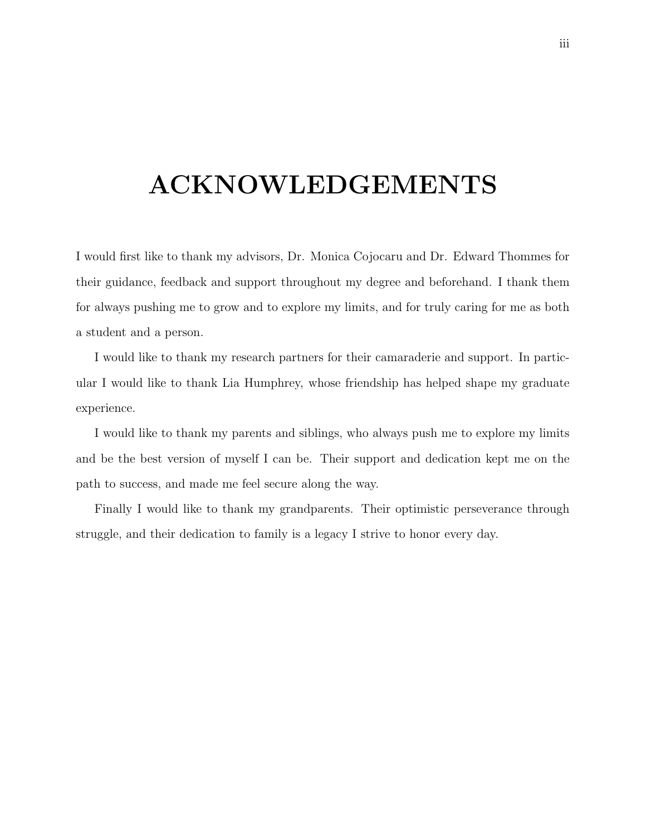## ACKNOWLEDGEMENTS

I would first like to thank my advisors, Dr. Monica Cojocaru and Dr. Edward Thommes for their guidance, feedback and support throughout my degree and beforehand. I thank them for always pushing me to grow and to explore my limits, and for truly caring for me as both a student and a person.

I would like to thank my research partners for their camaraderie and support. In particular I would like to thank Lia Humphrey, whose friendship has helped shape my graduate experience.

I would like to thank my parents and siblings, who always push me to explore my limits and be the best version of myself I can be. Their support and dedication kept me on the path to success, and made me feel secure along the way.

Finally I would like to thank my grandparents. Their optimistic perseverance through struggle, and their dedication to family is a legacy I strive to honor every day.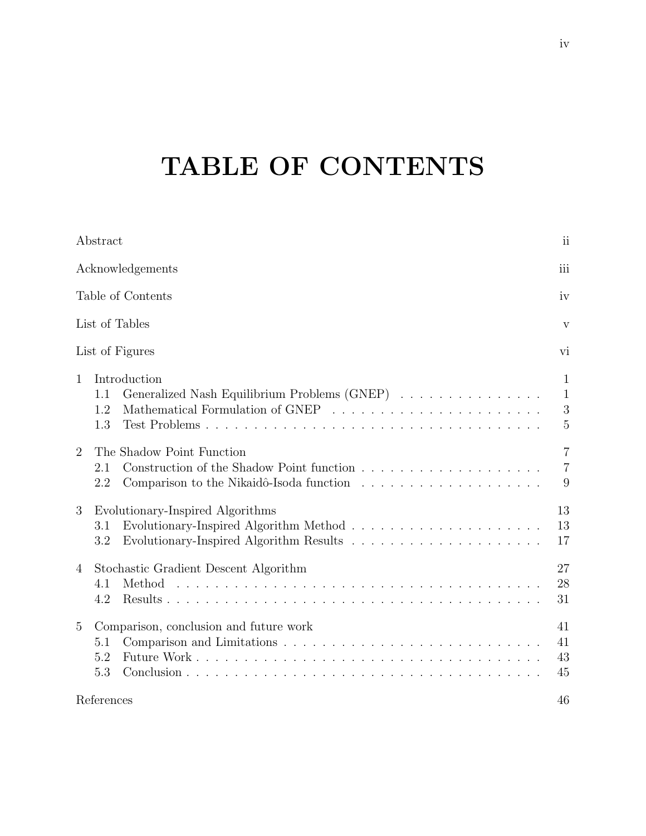# TABLE OF CONTENTS

| Abstract                                                                                          | $\overline{\mathbf{u}}$                  |
|---------------------------------------------------------------------------------------------------|------------------------------------------|
| Acknowledgements                                                                                  | iii                                      |
| Table of Contents                                                                                 | iv                                       |
| List of Tables                                                                                    | V                                        |
| List of Figures                                                                                   | vi                                       |
| Introduction<br>$\mathbf{1}$<br>Generalized Nash Equilibrium Problems (GNEP)<br>1.1<br>1.2<br>1.3 | 1<br>$\mathbf{1}$<br>3<br>$\overline{5}$ |
| The Shadow Point Function<br>$\overline{2}$<br>2.1<br>2.2                                         | $\overline{7}$<br>$\overline{7}$<br>9    |
| 3<br>Evolutionary-Inspired Algorithms<br>3.1<br>$3.2\,$                                           | 13<br>13<br>17                           |
| Stochastic Gradient Descent Algorithm<br>$\overline{4}$<br>Method<br>4.1<br>4.2                   | 27<br>28<br>31                           |
| Comparison, conclusion and future work<br>$\overline{5}$<br>5.1<br>5.2<br>5.3                     | 41<br>41<br>43<br>45                     |
| References                                                                                        | 46                                       |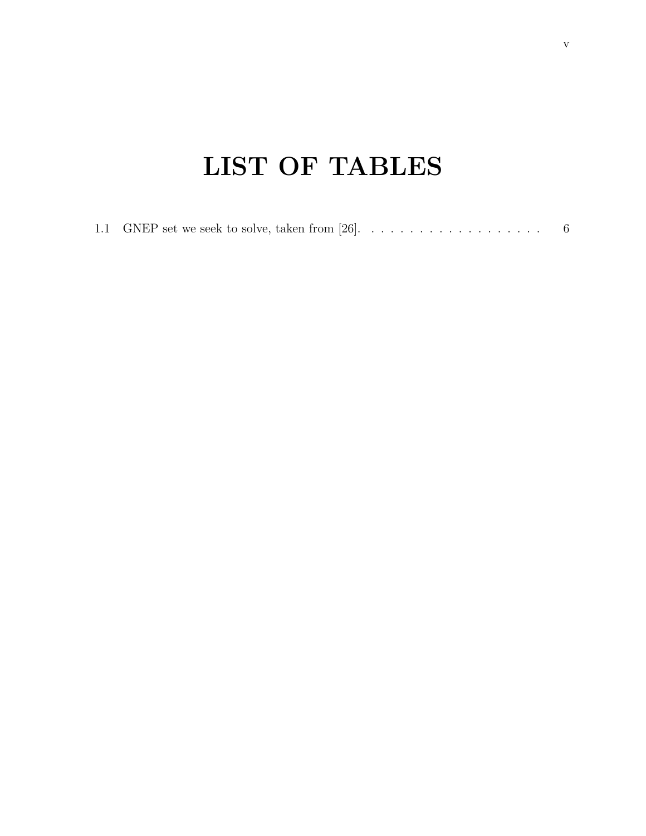# LIST OF TABLES

|--|--|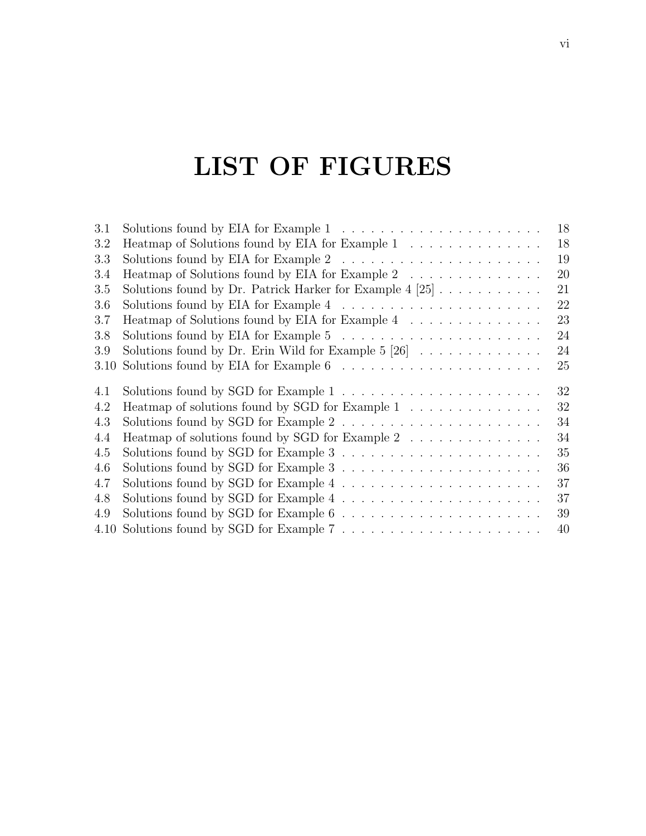## LIST OF FIGURES

| 3.1  | Solutions found by EIA for Example $1 \ldots \ldots \ldots \ldots \ldots \ldots \ldots$                          | 18 |
|------|------------------------------------------------------------------------------------------------------------------|----|
| 3.2  | Heatmap of Solutions found by EIA for Example $1\quad\ldots\ldots\ldots\ldots\ldots\ldots$                       | 18 |
| 3.3  | Solutions found by EIA for Example 2 $\ldots \ldots \ldots \ldots \ldots \ldots \ldots$                          | 19 |
| 3.4  | Heatmap of Solutions found by EIA for Example 2 $\;\ldots\; \ldots\; \ldots\; \ldots\; \ldots\; \ldots\;$        | 20 |
| 3.5  | Solutions found by Dr. Patrick Harker for Example 4 [25] $\dots \dots \dots$                                     | 21 |
| 3.6  | Solutions found by EIA for Example 4 $\ldots \ldots \ldots \ldots \ldots \ldots \ldots$                          | 22 |
| 3.7  | Heatmap of Solutions found by EIA for Example 4 $\dots \dots \dots \dots \dots$                                  | 23 |
| 3.8  | Solutions found by EIA for Example 5 $\ldots \ldots \ldots \ldots \ldots \ldots \ldots$                          | 24 |
| 3.9  | Solutions found by Dr. Erin Wild for Example $5 [26] \ldots \ldots \ldots \ldots$                                | 24 |
| 3.10 |                                                                                                                  | 25 |
| 4.1  | Solutions found by SGD for Example $1\;\ldots\;\ldots\;\ldots\;\ldots\;\ldots\;\ldots\;\ldots\;\ldots\;\ldots\;$ | 32 |
| 4.2  | Heatmap of solutions found by SGD for Example $1\quad \ldots \quad \ldots \quad \ldots \quad \ldots \,.$         | 32 |
| 4.3  |                                                                                                                  | 34 |
| 4.4  | Heatmap of solutions found by SGD for Example $2\quad \ldots \; \ldots \; \ldots \; \ldots \; \ldots$            | 34 |
| 4.5  | Solutions found by SGD for Example 3 $\ldots \ldots \ldots \ldots \ldots \ldots \ldots$                          | 35 |
| 4.6  | Solutions found by SGD for Example 3 $\ldots \ldots \ldots \ldots \ldots \ldots \ldots$                          | 36 |
| 4.7  |                                                                                                                  | 37 |
|      |                                                                                                                  | 37 |
| 4.8  |                                                                                                                  |    |
| 4.9  |                                                                                                                  | 39 |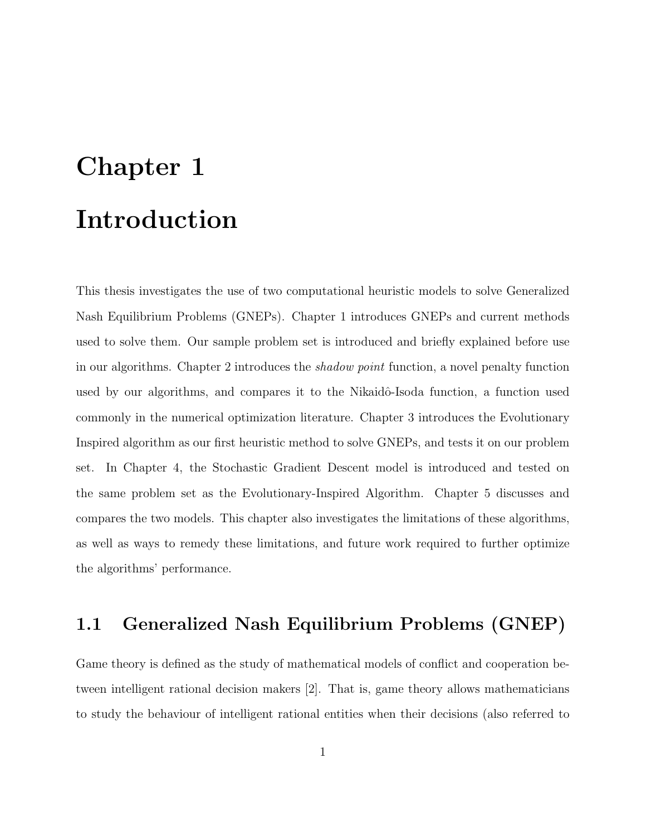# Chapter 1 Introduction

This thesis investigates the use of two computational heuristic models to solve Generalized Nash Equilibrium Problems (GNEPs). Chapter 1 introduces GNEPs and current methods used to solve them. Our sample problem set is introduced and briefly explained before use in our algorithms. Chapter 2 introduces the shadow point function, a novel penalty function used by our algorithms, and compares it to the Nikaidô-Isoda function, a function used commonly in the numerical optimization literature. Chapter 3 introduces the Evolutionary Inspired algorithm as our first heuristic method to solve GNEPs, and tests it on our problem set. In Chapter 4, the Stochastic Gradient Descent model is introduced and tested on the same problem set as the Evolutionary-Inspired Algorithm. Chapter 5 discusses and compares the two models. This chapter also investigates the limitations of these algorithms, as well as ways to remedy these limitations, and future work required to further optimize the algorithms' performance.

### 1.1 Generalized Nash Equilibrium Problems (GNEP)

Game theory is defined as the study of mathematical models of conflict and cooperation between intelligent rational decision makers [2]. That is, game theory allows mathematicians to study the behaviour of intelligent rational entities when their decisions (also referred to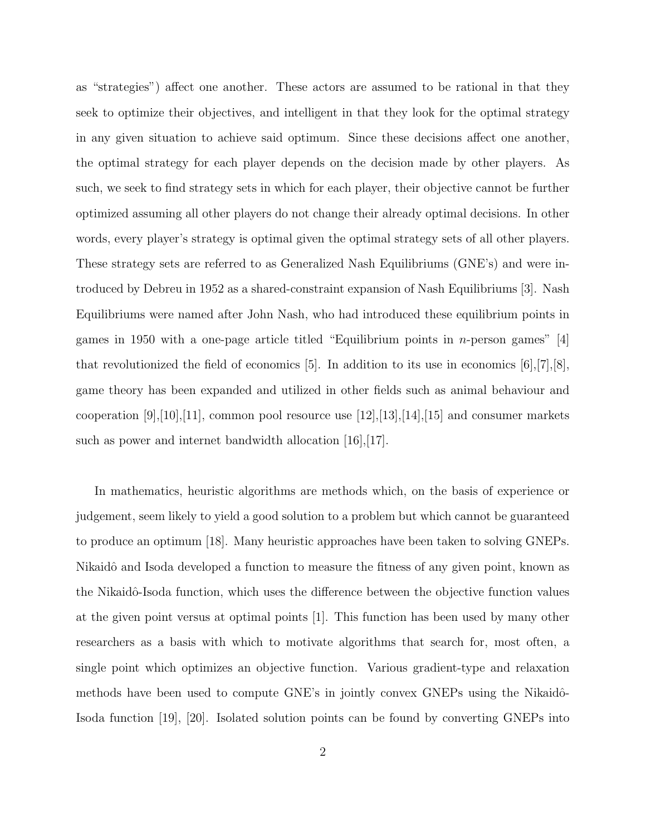as "strategies") affect one another. These actors are assumed to be rational in that they seek to optimize their objectives, and intelligent in that they look for the optimal strategy in any given situation to achieve said optimum. Since these decisions affect one another, the optimal strategy for each player depends on the decision made by other players. As such, we seek to find strategy sets in which for each player, their objective cannot be further optimized assuming all other players do not change their already optimal decisions. In other words, every player's strategy is optimal given the optimal strategy sets of all other players. These strategy sets are referred to as Generalized Nash Equilibriums (GNE's) and were introduced by Debreu in 1952 as a shared-constraint expansion of Nash Equilibriums [3]. Nash Equilibriums were named after John Nash, who had introduced these equilibrium points in games in 1950 with a one-page article titled "Equilibrium points in  $n$ -person games" [4] that revolutionized the field of economics [5]. In addition to its use in economics [6],[7],[8], game theory has been expanded and utilized in other fields such as animal behaviour and cooperation [9],[10],[11], common pool resource use  $[12]$ ,[13],[14],[15] and consumer markets such as power and internet bandwidth allocation [16], [17].

In mathematics, heuristic algorithms are methods which, on the basis of experience or judgement, seem likely to yield a good solution to a problem but which cannot be guaranteed to produce an optimum [18]. Many heuristic approaches have been taken to solving GNEPs. Nikaidô and Isoda developed a function to measure the fitness of any given point, known as the Nikaidô-Isoda function, which uses the difference between the objective function values at the given point versus at optimal points [1]. This function has been used by many other researchers as a basis with which to motivate algorithms that search for, most often, a single point which optimizes an objective function. Various gradient-type and relaxation methods have been used to compute GNE's in jointly convex GNEPs using the Nikaidô-Isoda function [19], [20]. Isolated solution points can be found by converting GNEPs into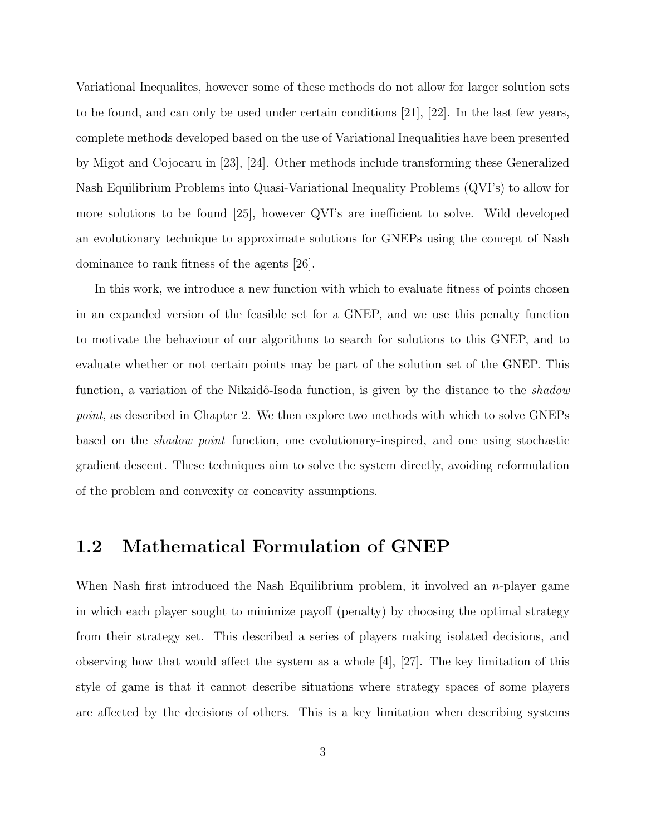Variational Inequalites, however some of these methods do not allow for larger solution sets to be found, and can only be used under certain conditions [21], [22]. In the last few years, complete methods developed based on the use of Variational Inequalities have been presented by Migot and Cojocaru in [23], [24]. Other methods include transforming these Generalized Nash Equilibrium Problems into Quasi-Variational Inequality Problems (QVI's) to allow for more solutions to be found [25], however QVI's are inefficient to solve. Wild developed an evolutionary technique to approximate solutions for GNEPs using the concept of Nash dominance to rank fitness of the agents [26].

In this work, we introduce a new function with which to evaluate fitness of points chosen in an expanded version of the feasible set for a GNEP, and we use this penalty function to motivate the behaviour of our algorithms to search for solutions to this GNEP, and to evaluate whether or not certain points may be part of the solution set of the GNEP. This function, a variation of the Nikaidô-Isoda function, is given by the distance to the *shadow* point, as described in Chapter 2. We then explore two methods with which to solve GNEPs based on the shadow point function, one evolutionary-inspired, and one using stochastic gradient descent. These techniques aim to solve the system directly, avoiding reformulation of the problem and convexity or concavity assumptions.

#### 1.2 Mathematical Formulation of GNEP

When Nash first introduced the Nash Equilibrium problem, it involved an *n*-player game in which each player sought to minimize payoff (penalty) by choosing the optimal strategy from their strategy set. This described a series of players making isolated decisions, and observing how that would affect the system as a whole  $[4]$ ,  $[27]$ . The key limitation of this style of game is that it cannot describe situations where strategy spaces of some players are affected by the decisions of others. This is a key limitation when describing systems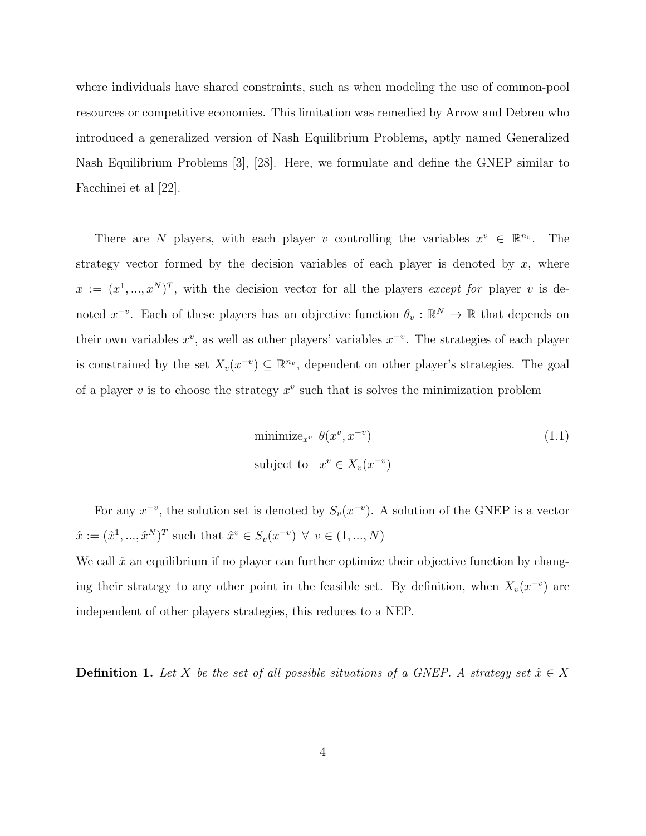where individuals have shared constraints, such as when modeling the use of common-pool resources or competitive economies. This limitation was remedied by Arrow and Debreu who introduced a generalized version of Nash Equilibrium Problems, aptly named Generalized Nash Equilibrium Problems [3], [28]. Here, we formulate and define the GNEP similar to Facchinei et al [22].

There are N players, with each player v controlling the variables  $x^v \in \mathbb{R}^{n_v}$ . The strategy vector formed by the decision variables of each player is denoted by  $x$ , where  $x := (x^1, ..., x^N)^T$ , with the decision vector for all the players except for player v is denoted  $x^{-v}$ . Each of these players has an objective function  $\theta_v : \mathbb{R}^N \to \mathbb{R}$  that depends on their own variables  $x^v$ , as well as other players' variables  $x^{-v}$ . The strategies of each player is constrained by the set  $X_v(x^{-v}) \subseteq \mathbb{R}^{n_v}$ , dependent on other player's strategies. The goal of a player  $v$  is to choose the strategy  $x^v$  such that is solves the minimization problem

$$
\text{minimize}_{x^v} \ \theta(x^v, x^{-v})
$$
\n
$$
\text{subject to} \quad x^v \in X_v(x^{-v})
$$
\n
$$
(1.1)
$$

For any  $x^{-v}$ , the solution set is denoted by  $S_v(x^{-v})$ . A solution of the GNEP is a vector  $\hat{x} := (\hat{x}^1, ..., \hat{x}^N)^T$  such that  $\hat{x}^v \in S_v(x^{-v}) \ \forall \ v \in (1, ..., N)$ 

We call  $\hat{x}$  an equilibrium if no player can further optimize their objective function by changing their strategy to any other point in the feasible set. By definition, when  $X_v(x^{-v})$  are independent of other players strategies, this reduces to a NEP.

**Definition 1.** Let X be the set of all possible situations of a GNEP. A strategy set  $\hat{x} \in X$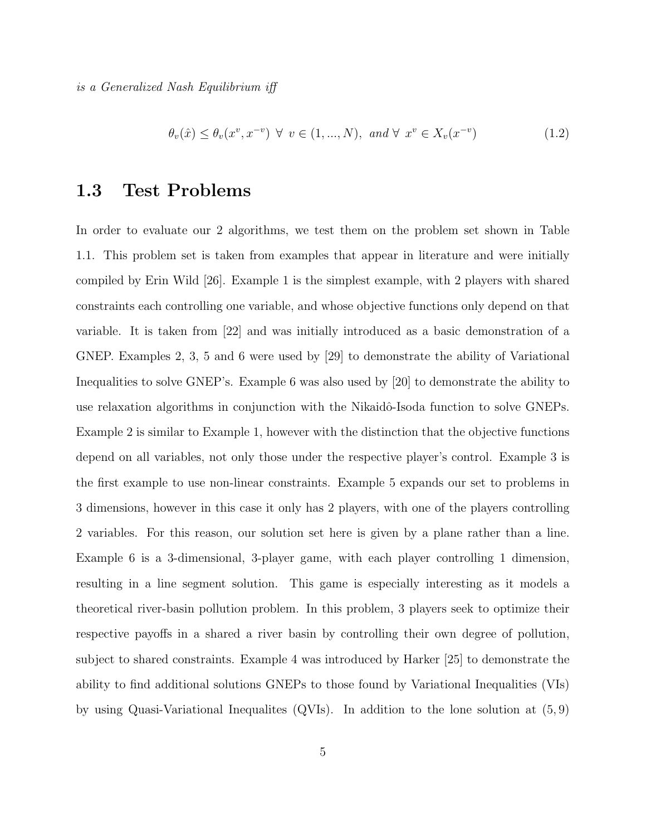is a Generalized Nash Equilibrium iff

$$
\theta_v(\hat{x}) \le \theta_v(x^v, x^{-v}) \ \forall \ v \in (1, ..., N), \ and \ \forall \ x^v \in X_v(x^{-v})
$$
\n(1.2)

### 1.3 Test Problems

In order to evaluate our 2 algorithms, we test them on the problem set shown in Table 1.1. This problem set is taken from examples that appear in literature and were initially compiled by Erin Wild [26]. Example 1 is the simplest example, with 2 players with shared constraints each controlling one variable, and whose objective functions only depend on that variable. It is taken from [22] and was initially introduced as a basic demonstration of a GNEP. Examples 2, 3, 5 and 6 were used by [29] to demonstrate the ability of Variational Inequalities to solve GNEP's. Example 6 was also used by [20] to demonstrate the ability to use relaxation algorithms in conjunction with the Nikaidô-Isoda function to solve GNEPs. Example 2 is similar to Example 1, however with the distinction that the objective functions depend on all variables, not only those under the respective player's control. Example 3 is the first example to use non-linear constraints. Example 5 expands our set to problems in 3 dimensions, however in this case it only has 2 players, with one of the players controlling 2 variables. For this reason, our solution set here is given by a plane rather than a line. Example 6 is a 3-dimensional, 3-player game, with each player controlling 1 dimension, resulting in a line segment solution. This game is especially interesting as it models a theoretical river-basin pollution problem. In this problem, 3 players seek to optimize their respective payoffs in a shared a river basin by controlling their own degree of pollution, subject to shared constraints. Example 4 was introduced by Harker [25] to demonstrate the ability to find additional solutions GNEPs to those found by Variational Inequalities (VIs) by using Quasi-Variational Inequalites (QVIs). In addition to the lone solution at (5, 9)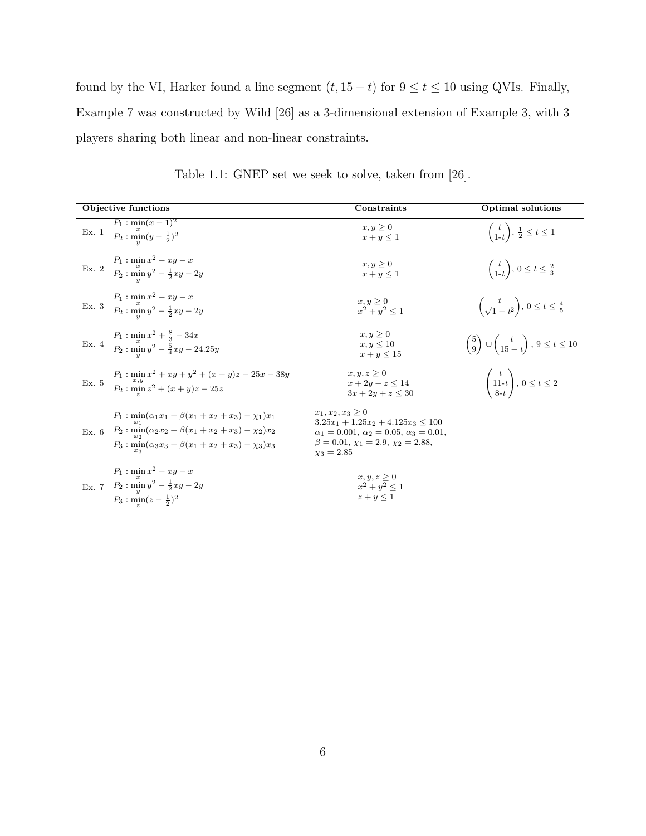found by the VI, Harker found a line segment  $(t, 15 - t)$  for  $9 \le t \le 10$  using QVIs. Finally, Example 7 was constructed by Wild [26] as a 3-dimensional extension of Example 3, with 3 players sharing both linear and non-linear constraints.

| Objective functions                                                                                                                                                                      | Constraints                                                                                                                                                                                   | <b>Optimal</b> solutions                                            |
|------------------------------------------------------------------------------------------------------------------------------------------------------------------------------------------|-----------------------------------------------------------------------------------------------------------------------------------------------------------------------------------------------|---------------------------------------------------------------------|
| $P_1: \min(x-1)^2$<br>Ex. 1<br>$P_2: \min_{y} (y - \frac{1}{2})^2$                                                                                                                       | $x, y \geq 0$<br>$x + y \leq 1$                                                                                                                                                               | $\begin{pmatrix} t \\ 1-t \end{pmatrix}, \frac{1}{2} \leq t \leq 1$ |
| Ex. 2 $P_1: \min_x x^2 - xy - x$<br>$P_2: \min_y y^2 - \frac{1}{2}xy - 2y$                                                                                                               | $x, y \geq 0$<br>$x+y\leq 1$                                                                                                                                                                  | $\binom{t}{1-t}, 0 \leq t \leq \frac{2}{3}$                         |
| Ex. 3 $\frac{P_1 \,:\, \min x^2 - xy - x}{P_2 \,:\, \min y^2 - \frac{1}{2}xy - 2y}$                                                                                                      | $\begin{array}{l}\n x, y \geq 0\\ \n x^2 + y^2 < 1\n \end{array}$                                                                                                                             | $\left(\frac{t}{\sqrt{1-t^2}}\right),\ 0\leq t\leq \frac{4}{5}$     |
| Ex. 4 $P_1: \min_x x^2 + \frac{8}{3} - 34x$<br>$P_2: \min_y y^2 - \frac{5}{4}xy - 24.25y$                                                                                                | $x, y \geq 0$<br>$x, y \le 10$<br>$x + y \le 15$                                                                                                                                              | $\binom{5}{9}$ $\cup$ $\binom{t}{15-t}$ , $9 \le t \le 10$          |
| Ex. 5 $P_1: \min_{x,y} x^2 + xy + y^2 + (x+y)z - 25x - 38y$<br>$P_2: \min z^2 + (x+y)z - 25z$                                                                                            | $x, y, z \geq 0$<br>$x + 2y - z \le 14$<br>$3x + 2y + z \leq 30$                                                                                                                              | $\begin{pmatrix} t \\ 11-t \\ 8-t \end{pmatrix}$ , $0 \le t \le 2$  |
| $P_1: \min_{x_1}(\alpha_1x_1+\beta(x_1+x_2+x_3)-\chi_1)x_1$<br>Ex. 6 $P_2: \min_{x_2}(\alpha_2x_2+\beta(x_1+x_2+x_3)-\chi_2)x_2$<br>$P_3: min(\alpha_3x_3+\beta(x_1+x_2+x_3)-\chi_3)x_3$ | $x_1, x_2, x_3 \geq 0$<br>$3.25x_1 + 1.25x_2 + 4.125x_3 \leq 100$<br>$\alpha_1 = 0.001, \alpha_2 = 0.05, \alpha_3 = 0.01,$<br>$\beta = 0.01, \chi_1 = 2.9, \chi_2 = 2.88,$<br>$\chi_3 = 2.85$ |                                                                     |
| $P_1: \min x^2 - xy - x$<br>Ex. 7 $P_2: \min_{y} y^2 - \frac{1}{2}xy - 2y$<br>$P_3: \min(z-\frac{1}{2})^2$                                                                               | $x,y,z\geq 0$<br>$x^2 + y^2 < 1$<br>$z + y \leq 1$                                                                                                                                            |                                                                     |

Table 1.1: GNEP set we seek to solve, taken from [26].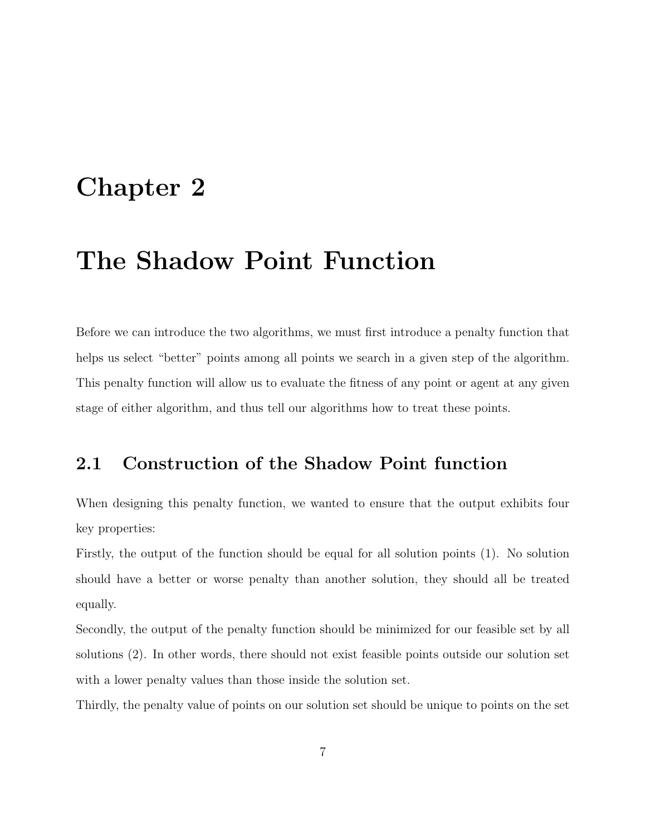### Chapter 2

### The Shadow Point Function

Before we can introduce the two algorithms, we must first introduce a penalty function that helps us select "better" points among all points we search in a given step of the algorithm. This penalty function will allow us to evaluate the fitness of any point or agent at any given stage of either algorithm, and thus tell our algorithms how to treat these points.

### 2.1 Construction of the Shadow Point function

When designing this penalty function, we wanted to ensure that the output exhibits four key properties:

Firstly, the output of the function should be equal for all solution points (1). No solution should have a better or worse penalty than another solution, they should all be treated equally.

Secondly, the output of the penalty function should be minimized for our feasible set by all solutions (2). In other words, there should not exist feasible points outside our solution set with a lower penalty values than those inside the solution set.

Thirdly, the penalty value of points on our solution set should be unique to points on the set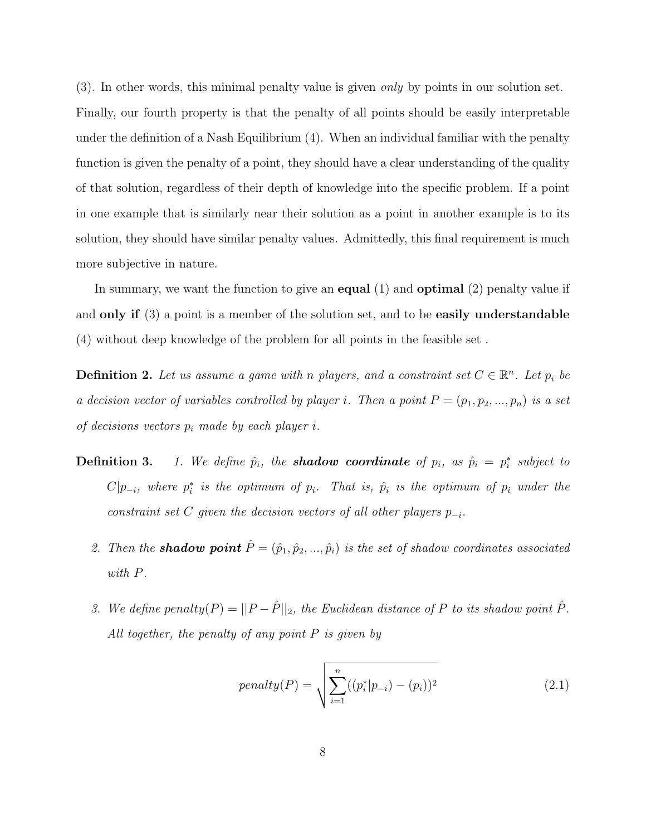(3). In other words, this minimal penalty value is given only by points in our solution set. Finally, our fourth property is that the penalty of all points should be easily interpretable under the definition of a Nash Equilibrium (4). When an individual familiar with the penalty function is given the penalty of a point, they should have a clear understanding of the quality of that solution, regardless of their depth of knowledge into the specific problem. If a point in one example that is similarly near their solution as a point in another example is to its solution, they should have similar penalty values. Admittedly, this final requirement is much more subjective in nature.

In summary, we want the function to give an **equal**  $(1)$  and **optimal**  $(2)$  penalty value if and only if (3) a point is a member of the solution set, and to be easily understandable (4) without deep knowledge of the problem for all points in the feasible set .

**Definition 2.** Let us assume a game with n players, and a constraint set  $C \in \mathbb{R}^n$ . Let  $p_i$  be a decision vector of variables controlled by player i. Then a point  $P = (p_1, p_2, ..., p_n)$  is a set of decisions vectors  $p_i$  made by each player i.

- **Definition 3.** 1. We define  $\hat{p}_i$ , the **shadow coordinate** of  $p_i$ , as  $\hat{p}_i = p_i^*$  subject to  $C|p_{-i}$ , where  $p_i^*$  is the optimum of  $p_i$ . That is,  $\hat{p}_i$  is the optimum of  $p_i$  under the constraint set C given the decision vectors of all other players  $p_{-i}$ .
	- 2. Then the **shadow point**  $\hat{P} = (\hat{p}_1, \hat{p}_2, ..., \hat{p}_i)$  is the set of shadow coordinates associated with P.
	- 3. We define penalty $(P) = ||P \hat{P}||_2$ , the Euclidean distance of P to its shadow point  $\hat{P}$ . All together, the penalty of any point  $P$  is given by

$$
penalty(P) = \sqrt{\sum_{i=1}^{n} ((p_i^*|p_{-i}) - (p_i))^2}
$$
\n(2.1)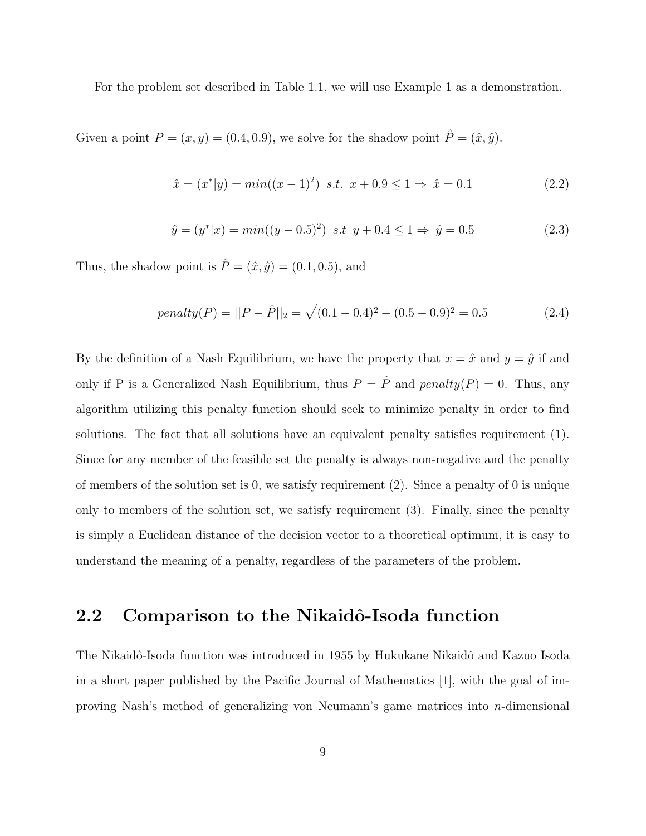For the problem set described in Table 1.1, we will use Example 1 as a demonstration.

Given a point  $P = (x, y) = (0.4, 0.9)$ , we solve for the shadow point  $\hat{P} = (\hat{x}, \hat{y})$ .

$$
\hat{x} = (x^*|y) = min((x-1)^2) \ \text{s.t.} \ \ x + 0.9 \le 1 \Rightarrow \ \hat{x} = 0.1 \tag{2.2}
$$

$$
\hat{y} = (y^*|x) = min((y - 0.5)^2) \text{ s.t } y + 0.4 \le 1 \Rightarrow \hat{y} = 0.5 \tag{2.3}
$$

Thus, the shadow point is  $\hat{P} = (\hat{x}, \hat{y}) = (0.1, 0.5)$ , and

$$
penalty(P) = ||P - \hat{P}||_2 = \sqrt{(0.1 - 0.4)^2 + (0.5 - 0.9)^2} = 0.5
$$
\n(2.4)

By the definition of a Nash Equilibrium, we have the property that  $x = \hat{x}$  and  $y = \hat{y}$  if and only if P is a Generalized Nash Equilibrium, thus  $P = \hat{P}$  and  $penalty(P) = 0$ . Thus, any algorithm utilizing this penalty function should seek to minimize penalty in order to find solutions. The fact that all solutions have an equivalent penalty satisfies requirement (1). Since for any member of the feasible set the penalty is always non-negative and the penalty of members of the solution set is 0, we satisfy requirement (2). Since a penalty of 0 is unique only to members of the solution set, we satisfy requirement (3). Finally, since the penalty is simply a Euclidean distance of the decision vector to a theoretical optimum, it is easy to understand the meaning of a penalty, regardless of the parameters of the problem.

### 2.2 Comparison to the Nikaidô-Isoda function

The Nikaidô-Isoda function was introduced in 1955 by Hukukane Nikaidô and Kazuo Isoda in a short paper published by the Pacific Journal of Mathematics [1], with the goal of improving Nash's method of generalizing von Neumann's game matrices into n-dimensional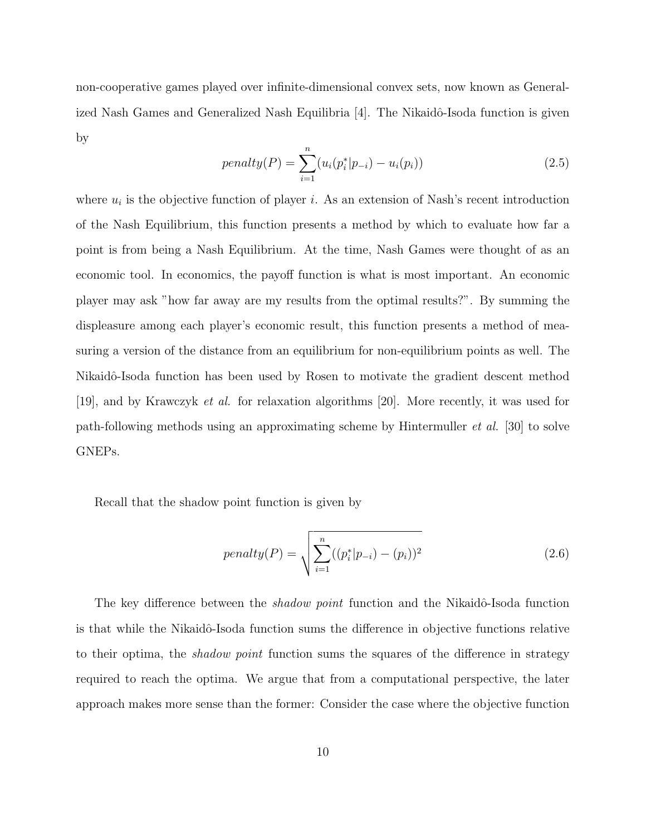non-cooperative games played over infinite-dimensional convex sets, now known as Generalized Nash Games and Generalized Nash Equilibria  $[4]$ . The Nikaidô-Isoda function is given by

$$
penalty(P) = \sum_{i=1}^{n} (u_i(p_i^*|p_{-i}) - u_i(p_i))
$$
\n(2.5)

where  $u_i$  is the objective function of player *i*. As an extension of Nash's recent introduction of the Nash Equilibrium, this function presents a method by which to evaluate how far a point is from being a Nash Equilibrium. At the time, Nash Games were thought of as an economic tool. In economics, the payoff function is what is most important. An economic player may ask "how far away are my results from the optimal results?". By summing the displeasure among each player's economic result, this function presents a method of measuring a version of the distance from an equilibrium for non-equilibrium points as well. The Nikaidô-Isoda function has been used by Rosen to motivate the gradient descent method [19], and by Krawczyk et al. for relaxation algorithms [20]. More recently, it was used for path-following methods using an approximating scheme by Hintermuller et al. [30] to solve GNEPs.

Recall that the shadow point function is given by

$$
penalty(P) = \sqrt{\sum_{i=1}^{n} ((p_i^*|p_{-i}) - (p_i))^2}
$$
\n(2.6)

The key difference between the *shadow point* function and the Nikaidô-Isoda function is that while the Nikaidô-Isoda function sums the difference in objective functions relative to their optima, the *shadow point* function sums the squares of the difference in strategy required to reach the optima. We argue that from a computational perspective, the later approach makes more sense than the former: Consider the case where the objective function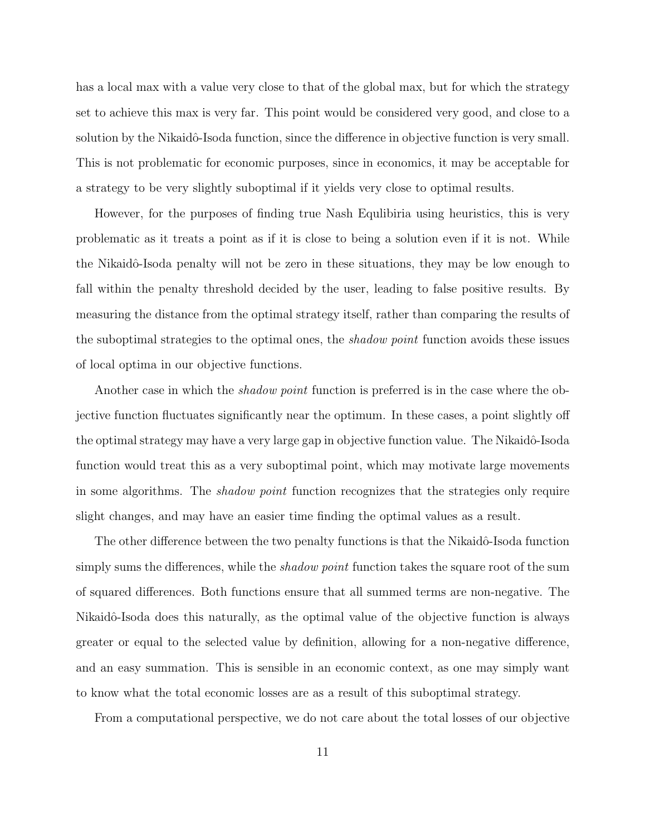has a local max with a value very close to that of the global max, but for which the strategy set to achieve this max is very far. This point would be considered very good, and close to a solution by the Nikaidô-Isoda function, since the difference in objective function is very small. This is not problematic for economic purposes, since in economics, it may be acceptable for a strategy to be very slightly suboptimal if it yields very close to optimal results.

However, for the purposes of finding true Nash Equlibiria using heuristics, this is very problematic as it treats a point as if it is close to being a solution even if it is not. While the Nikaidô-Isoda penalty will not be zero in these situations, they may be low enough to fall within the penalty threshold decided by the user, leading to false positive results. By measuring the distance from the optimal strategy itself, rather than comparing the results of the suboptimal strategies to the optimal ones, the shadow point function avoids these issues of local optima in our objective functions.

Another case in which the *shadow point* function is preferred is in the case where the objective function fluctuates significantly near the optimum. In these cases, a point slightly off the optimal strategy may have a very large gap in objective function value. The Nikaidô-Isoda function would treat this as a very suboptimal point, which may motivate large movements in some algorithms. The shadow point function recognizes that the strategies only require slight changes, and may have an easier time finding the optimal values as a result.

The other difference between the two penalty functions is that the Nikaidô-Isoda function simply sums the differences, while the *shadow point* function takes the square root of the sum of squared differences. Both functions ensure that all summed terms are non-negative. The Nikaidô-Isoda does this naturally, as the optimal value of the objective function is always greater or equal to the selected value by definition, allowing for a non-negative difference, and an easy summation. This is sensible in an economic context, as one may simply want to know what the total economic losses are as a result of this suboptimal strategy.

From a computational perspective, we do not care about the total losses of our objective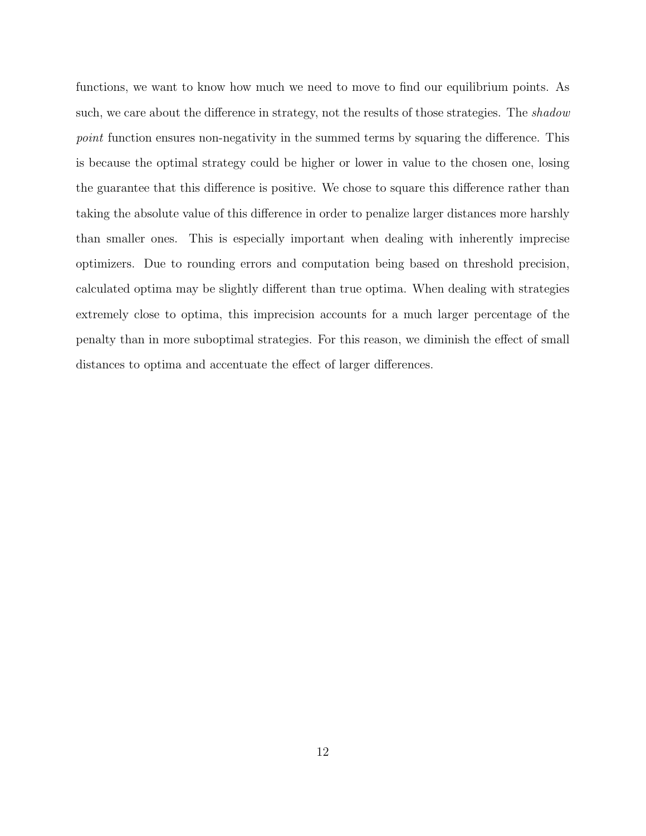functions, we want to know how much we need to move to find our equilibrium points. As such, we care about the difference in strategy, not the results of those strategies. The shadow point function ensures non-negativity in the summed terms by squaring the difference. This is because the optimal strategy could be higher or lower in value to the chosen one, losing the guarantee that this difference is positive. We chose to square this difference rather than taking the absolute value of this difference in order to penalize larger distances more harshly than smaller ones. This is especially important when dealing with inherently imprecise optimizers. Due to rounding errors and computation being based on threshold precision, calculated optima may be slightly different than true optima. When dealing with strategies extremely close to optima, this imprecision accounts for a much larger percentage of the penalty than in more suboptimal strategies. For this reason, we diminish the effect of small distances to optima and accentuate the effect of larger differences.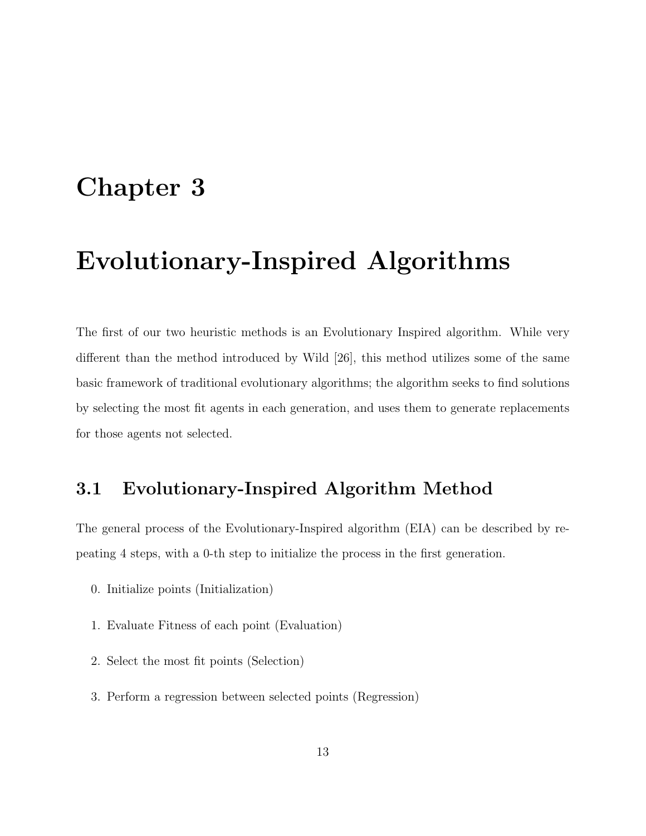### Chapter 3

### Evolutionary-Inspired Algorithms

The first of our two heuristic methods is an Evolutionary Inspired algorithm. While very different than the method introduced by Wild [26], this method utilizes some of the same basic framework of traditional evolutionary algorithms; the algorithm seeks to find solutions by selecting the most fit agents in each generation, and uses them to generate replacements for those agents not selected.

### 3.1 Evolutionary-Inspired Algorithm Method

The general process of the Evolutionary-Inspired algorithm (EIA) can be described by repeating 4 steps, with a 0-th step to initialize the process in the first generation.

- 0. Initialize points (Initialization)
- 1. Evaluate Fitness of each point (Evaluation)
- 2. Select the most fit points (Selection)
- 3. Perform a regression between selected points (Regression)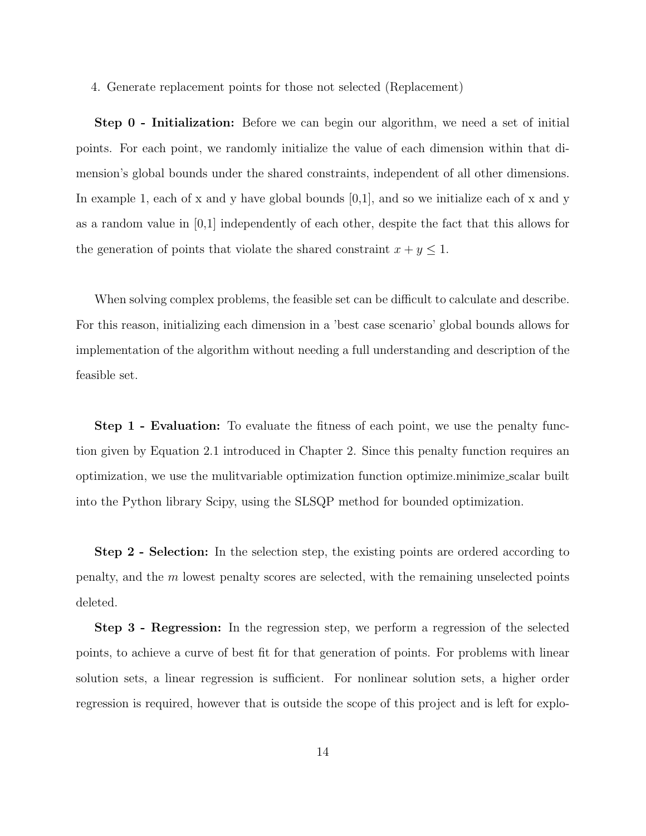4. Generate replacement points for those not selected (Replacement)

Step 0 - Initialization: Before we can begin our algorithm, we need a set of initial points. For each point, we randomly initialize the value of each dimension within that dimension's global bounds under the shared constraints, independent of all other dimensions. In example 1, each of x and y have global bounds  $[0,1]$ , and so we initialize each of x and y as a random value in [0,1] independently of each other, despite the fact that this allows for the generation of points that violate the shared constraint  $x + y \leq 1$ .

When solving complex problems, the feasible set can be difficult to calculate and describe. For this reason, initializing each dimension in a 'best case scenario' global bounds allows for implementation of the algorithm without needing a full understanding and description of the feasible set.

**Step 1 - Evaluation:** To evaluate the fitness of each point, we use the penalty function given by Equation 2.1 introduced in Chapter 2. Since this penalty function requires an optimization, we use the mulitvariable optimization function optimize.minimize scalar built into the Python library Scipy, using the SLSQP method for bounded optimization.

Step 2 - Selection: In the selection step, the existing points are ordered according to penalty, and the m lowest penalty scores are selected, with the remaining unselected points deleted.

Step 3 - Regression: In the regression step, we perform a regression of the selected points, to achieve a curve of best fit for that generation of points. For problems with linear solution sets, a linear regression is sufficient. For nonlinear solution sets, a higher order regression is required, however that is outside the scope of this project and is left for explo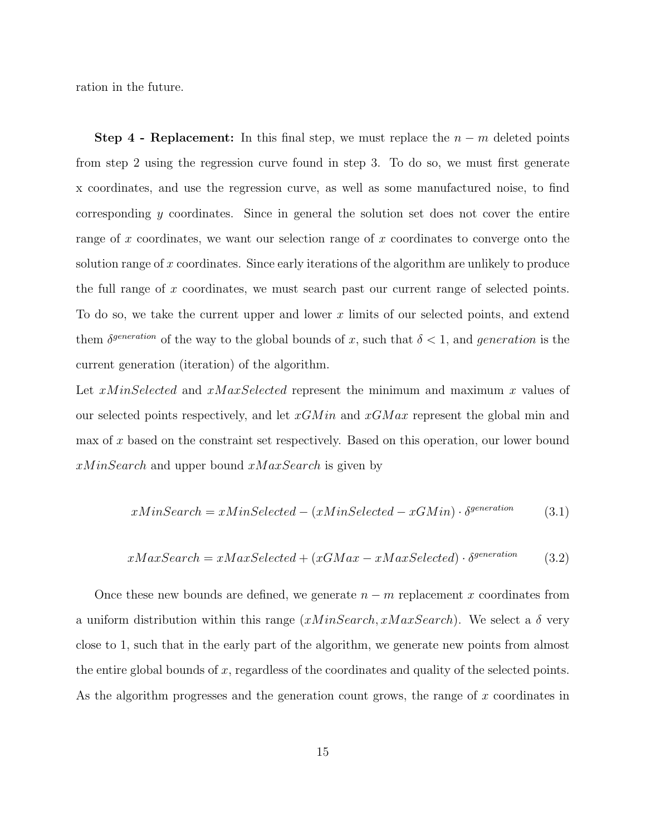ration in the future.

Step 4 - Replacement: In this final step, we must replace the  $n - m$  deleted points from step 2 using the regression curve found in step 3. To do so, we must first generate x coordinates, and use the regression curve, as well as some manufactured noise, to find corresponding y coordinates. Since in general the solution set does not cover the entire range of x coordinates, we want our selection range of x coordinates to converge onto the solution range of x coordinates. Since early iterations of the algorithm are unlikely to produce the full range of x coordinates, we must search past our current range of selected points. To do so, we take the current upper and lower x limits of our selected points, and extend them  $\delta^{generation}$  of the way to the global bounds of x, such that  $\delta < 1$ , and generation is the current generation (iteration) of the algorithm.

Let xMinSelected and xMaxSelected represent the minimum and maximum x values of our selected points respectively, and let  $xGMin$  and  $xGMax$  represent the global min and max of x based on the constraint set respectively. Based on this operation, our lower bound  $xMinSearch$  and upper bound  $xMaxSearch$  is given by

$$
xMinSearch = xMinSelected - (xMinSelected - xGMin) \cdot \delta^{generation}
$$
 (3.1)

$$
xMaxSearch = xMaxSelected + (xGMax - xMaxSelected) \cdot \delta^{generation}
$$
 (3.2)

Once these new bounds are defined, we generate  $n - m$  replacement x coordinates from a uniform distribution within this range  $(xMinSearch, xMaxSearch)$ . We select a  $\delta$  very close to 1, such that in the early part of the algorithm, we generate new points from almost the entire global bounds of x, regardless of the coordinates and quality of the selected points. As the algorithm progresses and the generation count grows, the range of x coordinates in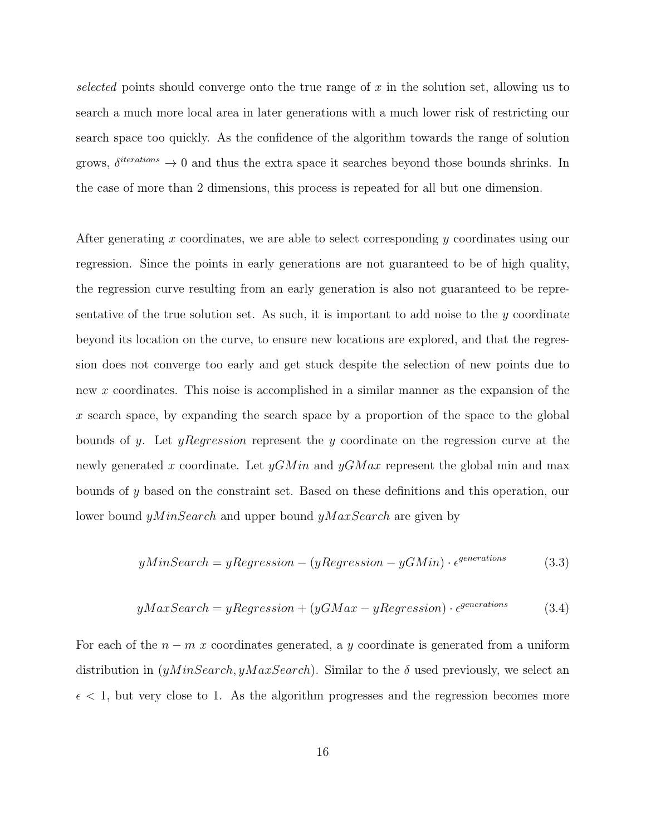selected points should converge onto the true range of  $x$  in the solution set, allowing us to search a much more local area in later generations with a much lower risk of restricting our search space too quickly. As the confidence of the algorithm towards the range of solution grows,  $\delta^{iterations} \rightarrow 0$  and thus the extra space it searches beyond those bounds shrinks. In the case of more than 2 dimensions, this process is repeated for all but one dimension.

After generating x coordinates, we are able to select corresponding y coordinates using our regression. Since the points in early generations are not guaranteed to be of high quality, the regression curve resulting from an early generation is also not guaranteed to be representative of the true solution set. As such, it is important to add noise to the  $\gamma$  coordinate beyond its location on the curve, to ensure new locations are explored, and that the regression does not converge too early and get stuck despite the selection of new points due to new x coordinates. This noise is accomplished in a similar manner as the expansion of the x search space, by expanding the search space by a proportion of the space to the global bounds of y. Let yRegression represent the y coordinate on the regression curve at the newly generated x coordinate. Let  $yGMin$  and  $yGMax$  represent the global min and max bounds of y based on the constraint set. Based on these definitions and this operation, our lower bound  $yMinSearch$  and upper bound  $yMaxSearch$  are given by

$$
yMinSearch = yRegression - (yRegression - yGMin) \cdot \epsilon^{generations}
$$
\n(3.3)

$$
yMaxSearch = yRegression + (yGMax - yRegression) \cdot \epsilon^{generations}
$$
 (3.4)

For each of the  $n - m x$  coordinates generated, a y coordinate is generated from a uniform distribution in  $(yMinSearch, yMaxSearch)$ . Similar to the  $\delta$  used previously, we select an  $\epsilon$  < 1, but very close to 1. As the algorithm progresses and the regression becomes more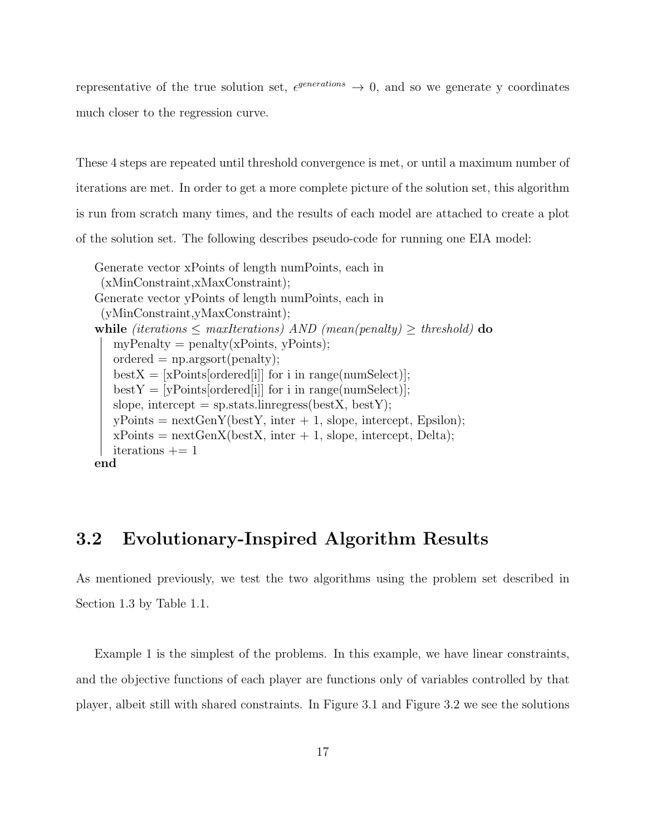representative of the true solution set,  $\epsilon^{generations} \rightarrow 0$ , and so we generate y coordinates much closer to the regression curve.

These 4 steps are repeated until threshold convergence is met, or until a maximum number of iterations are met. In order to get a more complete picture of the solution set, this algorithm is run from scratch many times, and the results of each model are attached to create a plot of the solution set. The following describes pseudo-code for running one EIA model:

```
Generate vector xPoints of length numPoints, each in
 (xMinConstraint,xMaxConstraint);
Generate vector yPoints of length numPoints, each in
 (yMinConstraint,yMaxConstraint);
while (iterations \leq maxIterations) AND (mean(penalty) \geq threshold) do
   myPenalty = penalty(xPoints, yPoints);ordered = np.argv(t);
   bestX = [xPoints[ordered[i]] for i in range(numSelect)];bestY = [yPoints[ordered[i]] for i in range(numSelect)];slope, intercept = sp.stats.linregress(bestX, bestY);
   yPoints = nextGenY(bestY, inter + 1, slope, intercept, Epsilon);xPoints = \text{nextGenX}(\text{bestX}, \text{inter} + 1, \text{slope}, \text{intercept}, \text{Delta});iterations += 1end
```
#### 3.2 Evolutionary-Inspired Algorithm Results

As mentioned previously, we test the two algorithms using the problem set described in Section 1.3 by Table 1.1.

Example 1 is the simplest of the problems. In this example, we have linear constraints, and the objective functions of each player are functions only of variables controlled by that player, albeit still with shared constraints. In Figure 3.1 and Figure 3.2 we see the solutions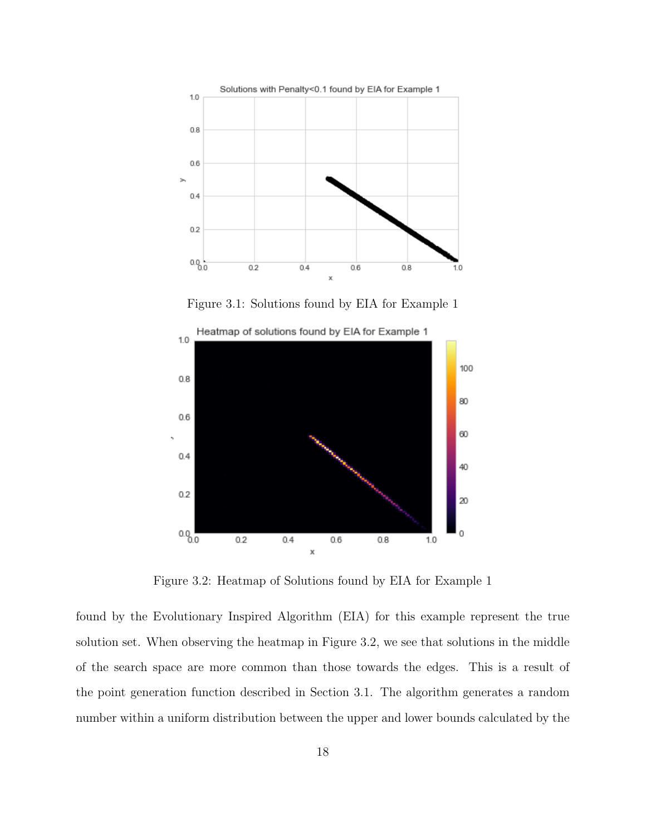

Figure 3.1: Solutions found by EIA for Example 1



Figure 3.2: Heatmap of Solutions found by EIA for Example 1

found by the Evolutionary Inspired Algorithm (EIA) for this example represent the true solution set. When observing the heatmap in Figure 3.2, we see that solutions in the middle of the search space are more common than those towards the edges. This is a result of the point generation function described in Section 3.1. The algorithm generates a random number within a uniform distribution between the upper and lower bounds calculated by the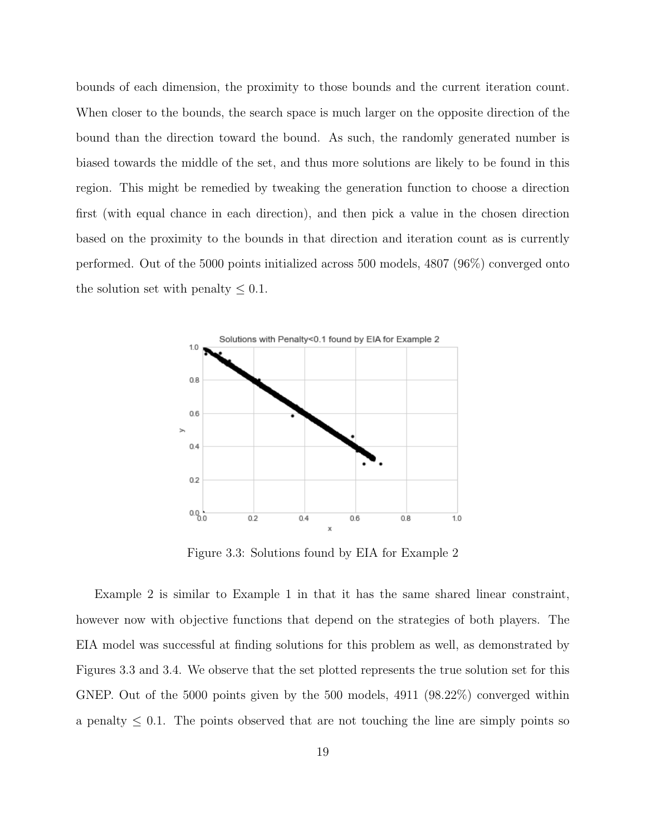bounds of each dimension, the proximity to those bounds and the current iteration count. When closer to the bounds, the search space is much larger on the opposite direction of the bound than the direction toward the bound. As such, the randomly generated number is biased towards the middle of the set, and thus more solutions are likely to be found in this region. This might be remedied by tweaking the generation function to choose a direction first (with equal chance in each direction), and then pick a value in the chosen direction based on the proximity to the bounds in that direction and iteration count as is currently performed. Out of the 5000 points initialized across 500 models, 4807 (96%) converged onto the solution set with penalty  $\leq 0.1$ .



Figure 3.3: Solutions found by EIA for Example 2

Example 2 is similar to Example 1 in that it has the same shared linear constraint, however now with objective functions that depend on the strategies of both players. The EIA model was successful at finding solutions for this problem as well, as demonstrated by Figures 3.3 and 3.4. We observe that the set plotted represents the true solution set for this GNEP. Out of the 5000 points given by the 500 models, 4911 (98.22%) converged within a penalty  $\leq 0.1$ . The points observed that are not touching the line are simply points so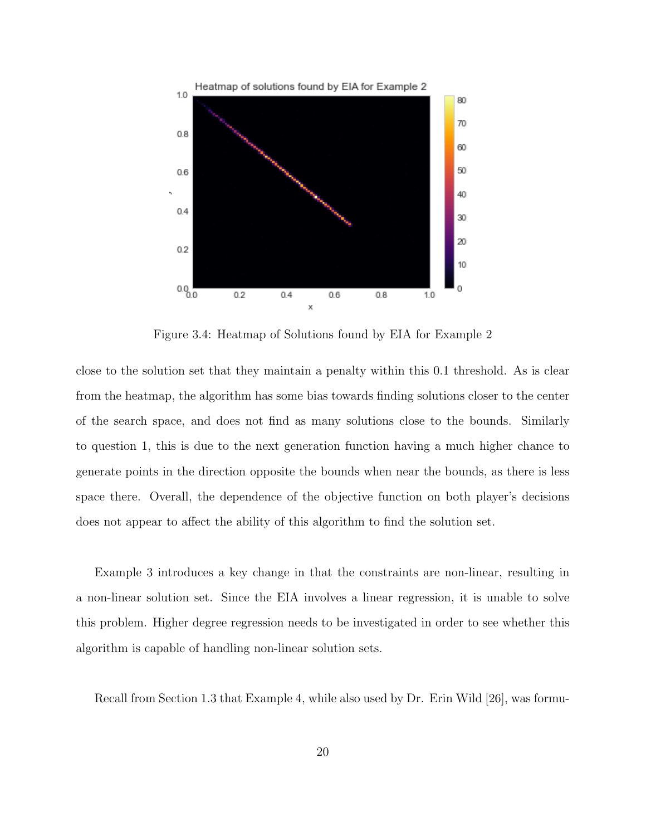

Figure 3.4: Heatmap of Solutions found by EIA for Example 2

close to the solution set that they maintain a penalty within this 0.1 threshold. As is clear from the heatmap, the algorithm has some bias towards finding solutions closer to the center of the search space, and does not find as many solutions close to the bounds. Similarly to question 1, this is due to the next generation function having a much higher chance to generate points in the direction opposite the bounds when near the bounds, as there is less space there. Overall, the dependence of the objective function on both player's decisions does not appear to affect the ability of this algorithm to find the solution set.

Example 3 introduces a key change in that the constraints are non-linear, resulting in a non-linear solution set. Since the EIA involves a linear regression, it is unable to solve this problem. Higher degree regression needs to be investigated in order to see whether this algorithm is capable of handling non-linear solution sets.

Recall from Section 1.3 that Example 4, while also used by Dr. Erin Wild [26], was formu-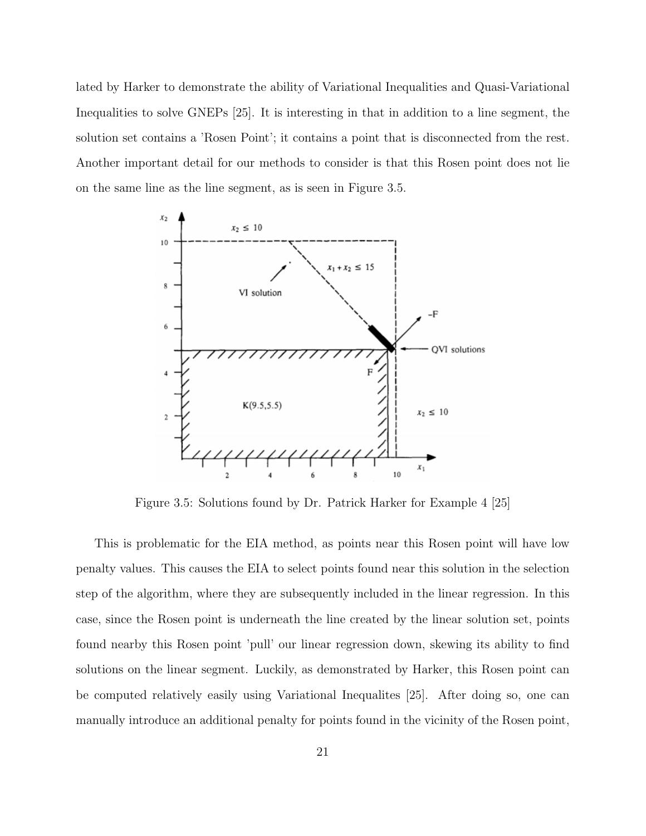lated by Harker to demonstrate the ability of Variational Inequalities and Quasi-Variational Inequalities to solve GNEPs [25]. It is interesting in that in addition to a line segment, the solution set contains a 'Rosen Point'; it contains a point that is disconnected from the rest. Another important detail for our methods to consider is that this Rosen point does not lie on the same line as the line segment, as is seen in Figure 3.5.



Figure 3.5: Solutions found by Dr. Patrick Harker for Example 4 [25]

This is problematic for the EIA method, as points near this Rosen point will have low penalty values. This causes the EIA to select points found near this solution in the selection step of the algorithm, where they are subsequently included in the linear regression. In this case, since the Rosen point is underneath the line created by the linear solution set, points found nearby this Rosen point 'pull' our linear regression down, skewing its ability to find solutions on the linear segment. Luckily, as demonstrated by Harker, this Rosen point can be computed relatively easily using Variational Inequalites [25]. After doing so, one can manually introduce an additional penalty for points found in the vicinity of the Rosen point,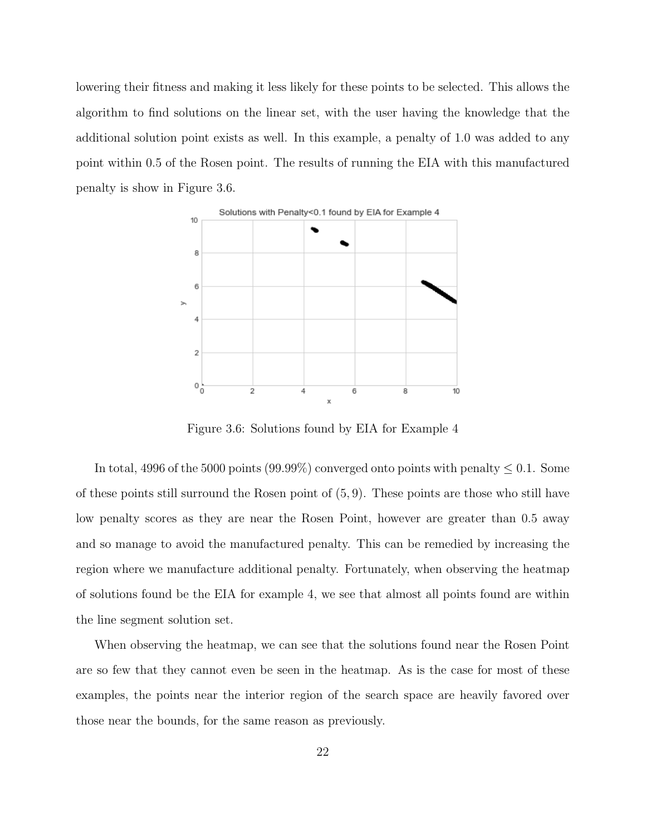lowering their fitness and making it less likely for these points to be selected. This allows the algorithm to find solutions on the linear set, with the user having the knowledge that the additional solution point exists as well. In this example, a penalty of 1.0 was added to any point within 0.5 of the Rosen point. The results of running the EIA with this manufactured penalty is show in Figure 3.6.



Figure 3.6: Solutions found by EIA for Example 4

In total, 4996 of the 5000 points (99.99%) converged onto points with penalty  $\leq 0.1$ . Some of these points still surround the Rosen point of (5, 9). These points are those who still have low penalty scores as they are near the Rosen Point, however are greater than 0.5 away and so manage to avoid the manufactured penalty. This can be remedied by increasing the region where we manufacture additional penalty. Fortunately, when observing the heatmap of solutions found be the EIA for example 4, we see that almost all points found are within the line segment solution set.

When observing the heatmap, we can see that the solutions found near the Rosen Point are so few that they cannot even be seen in the heatmap. As is the case for most of these examples, the points near the interior region of the search space are heavily favored over those near the bounds, for the same reason as previously.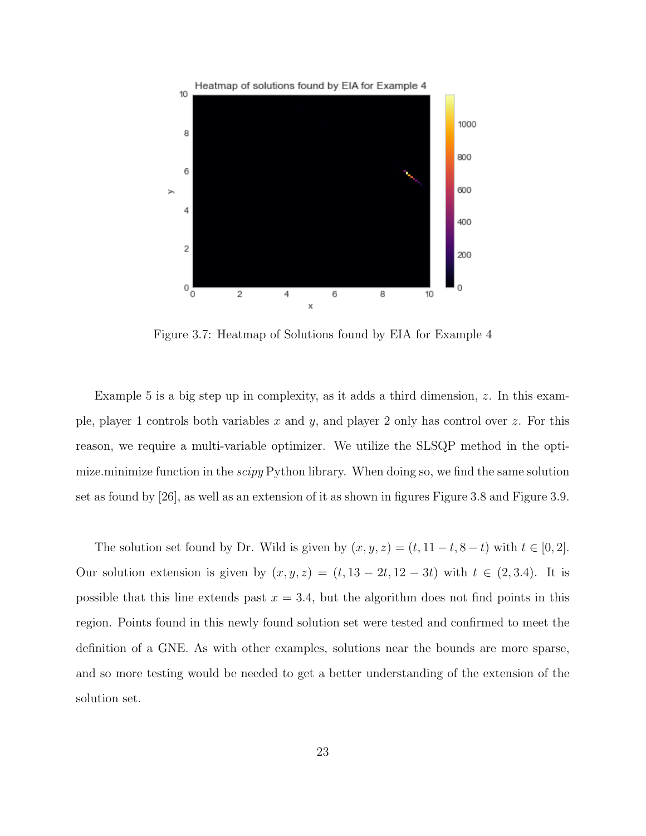

Figure 3.7: Heatmap of Solutions found by EIA for Example 4

Example 5 is a big step up in complexity, as it adds a third dimension,  $z$ . In this example, player 1 controls both variables x and y, and player 2 only has control over z. For this reason, we require a multi-variable optimizer. We utilize the SLSQP method in the optimize.minimize function in the *scipy* Python library. When doing so, we find the same solution set as found by [26], as well as an extension of it as shown in figures Figure 3.8 and Figure 3.9.

The solution set found by Dr. Wild is given by  $(x, y, z) = (t, 11 - t, 8 - t)$  with  $t \in [0, 2]$ . Our solution extension is given by  $(x, y, z) = (t, 13 - 2t, 12 - 3t)$  with  $t \in (2, 3.4)$ . It is possible that this line extends past  $x = 3.4$ , but the algorithm does not find points in this region. Points found in this newly found solution set were tested and confirmed to meet the definition of a GNE. As with other examples, solutions near the bounds are more sparse, and so more testing would be needed to get a better understanding of the extension of the solution set.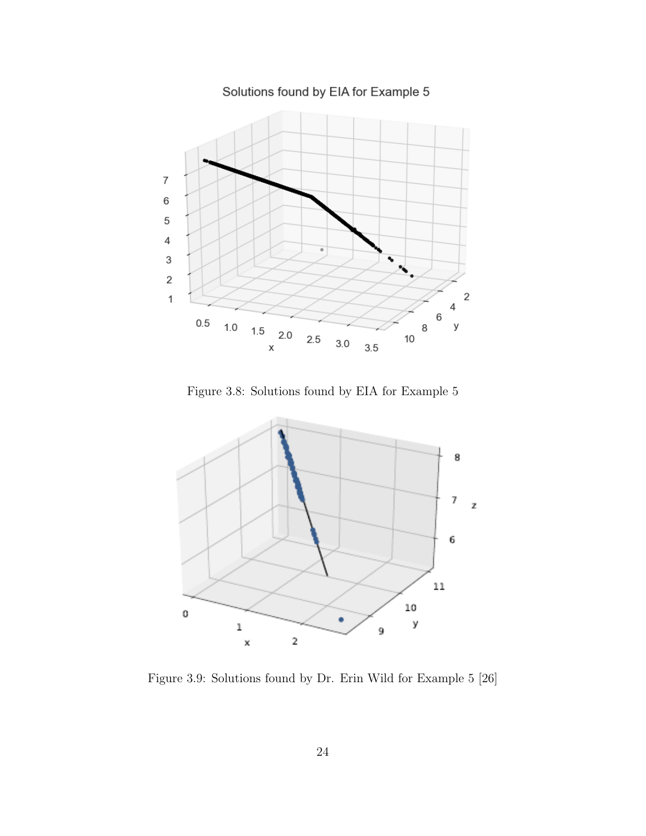$\overline{7}$  $\,6\,$ 5  $\overline{\mathcal{L}}$ 3  $\overline{c}$  $\overline{\mathbf{c}}$  $\mathbf 1$ 4 6  $0.5$  $1.0$ у 8  $1.5\,$  $2.0$  $2.5$  $10$  $3.0$  $3.5$  $\pmb{\mathsf{X}}$ 

Solutions found by EIA for Example 5

Figure 3.8: Solutions found by EIA for Example 5



Figure 3.9: Solutions found by Dr. Erin Wild for Example 5 [26]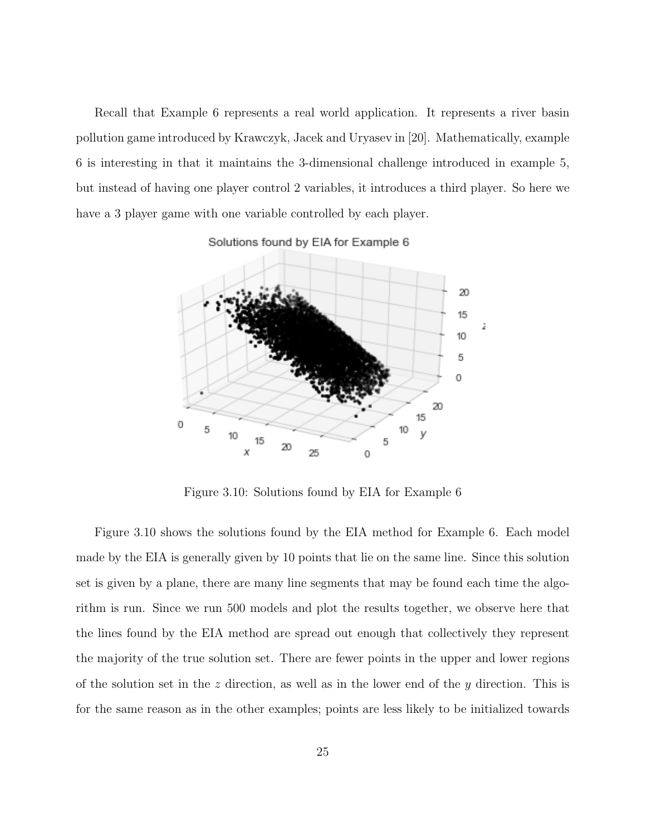Recall that Example 6 represents a real world application. It represents a river basin pollution game introduced by Krawczyk, Jacek and Uryasev in [20]. Mathematically, example 6 is interesting in that it maintains the 3-dimensional challenge introduced in example 5, but instead of having one player control 2 variables, it introduces a third player. So here we have a 3 player game with one variable controlled by each player.

Solutions found by EIA for Example 6



Figure 3.10: Solutions found by EIA for Example 6

Figure 3.10 shows the solutions found by the EIA method for Example 6. Each model made by the EIA is generally given by 10 points that lie on the same line. Since this solution set is given by a plane, there are many line segments that may be found each time the algorithm is run. Since we run 500 models and plot the results together, we observe here that the lines found by the EIA method are spread out enough that collectively they represent the majority of the true solution set. There are fewer points in the upper and lower regions of the solution set in the z direction, as well as in the lower end of the  $y$  direction. This is for the same reason as in the other examples; points are less likely to be initialized towards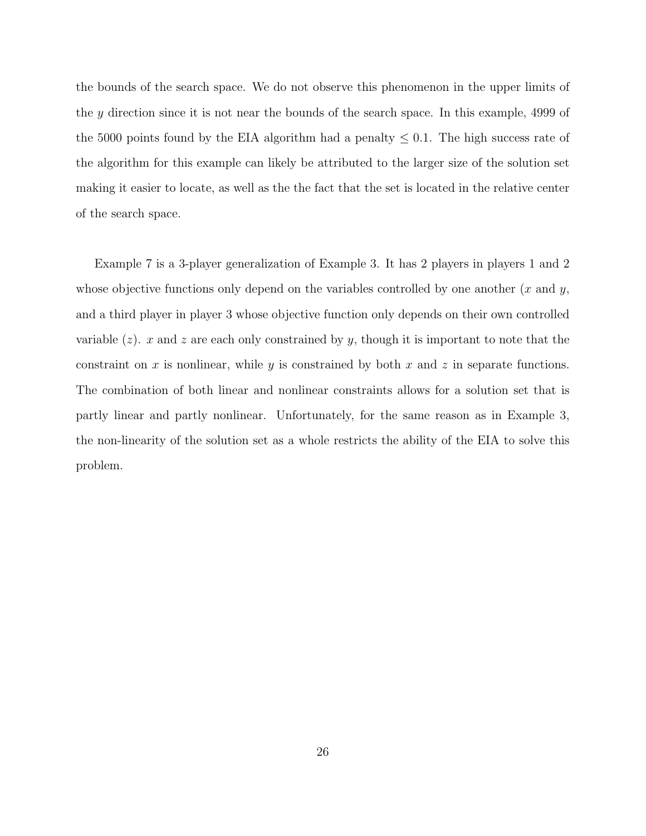the bounds of the search space. We do not observe this phenomenon in the upper limits of the y direction since it is not near the bounds of the search space. In this example, 4999 of the 5000 points found by the EIA algorithm had a penalty  $\leq 0.1$ . The high success rate of the algorithm for this example can likely be attributed to the larger size of the solution set making it easier to locate, as well as the the fact that the set is located in the relative center of the search space.

Example 7 is a 3-player generalization of Example 3. It has 2 players in players 1 and 2 whose objective functions only depend on the variables controlled by one another  $(x \text{ and } y,$ and a third player in player 3 whose objective function only depends on their own controlled variable  $(z)$ . x and z are each only constrained by y, though it is important to note that the constraint on  $x$  is nonlinear, while  $y$  is constrained by both  $x$  and  $z$  in separate functions. The combination of both linear and nonlinear constraints allows for a solution set that is partly linear and partly nonlinear. Unfortunately, for the same reason as in Example 3, the non-linearity of the solution set as a whole restricts the ability of the EIA to solve this problem.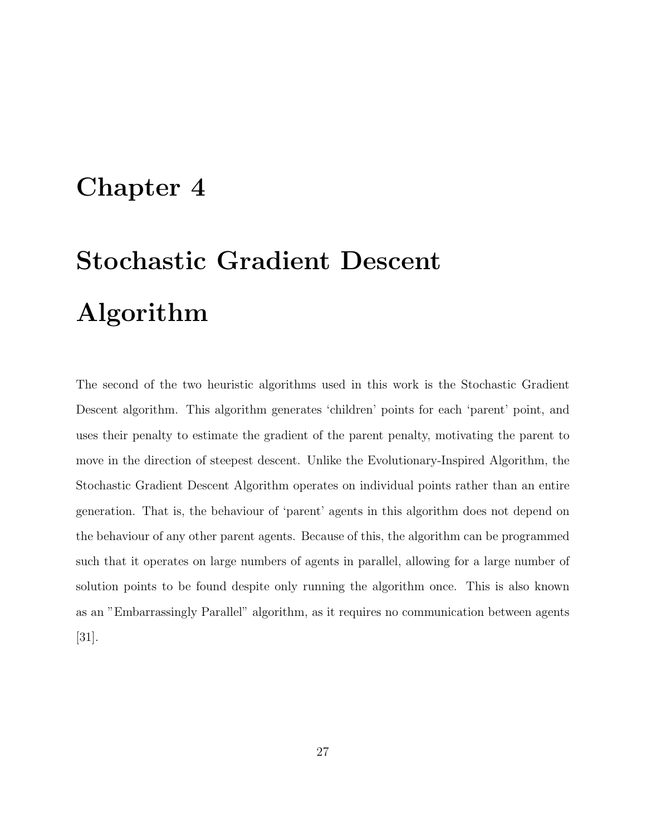### Chapter 4

# Stochastic Gradient Descent Algorithm

The second of the two heuristic algorithms used in this work is the Stochastic Gradient Descent algorithm. This algorithm generates 'children' points for each 'parent' point, and uses their penalty to estimate the gradient of the parent penalty, motivating the parent to move in the direction of steepest descent. Unlike the Evolutionary-Inspired Algorithm, the Stochastic Gradient Descent Algorithm operates on individual points rather than an entire generation. That is, the behaviour of 'parent' agents in this algorithm does not depend on the behaviour of any other parent agents. Because of this, the algorithm can be programmed such that it operates on large numbers of agents in parallel, allowing for a large number of solution points to be found despite only running the algorithm once. This is also known as an "Embarrassingly Parallel" algorithm, as it requires no communication between agents [31].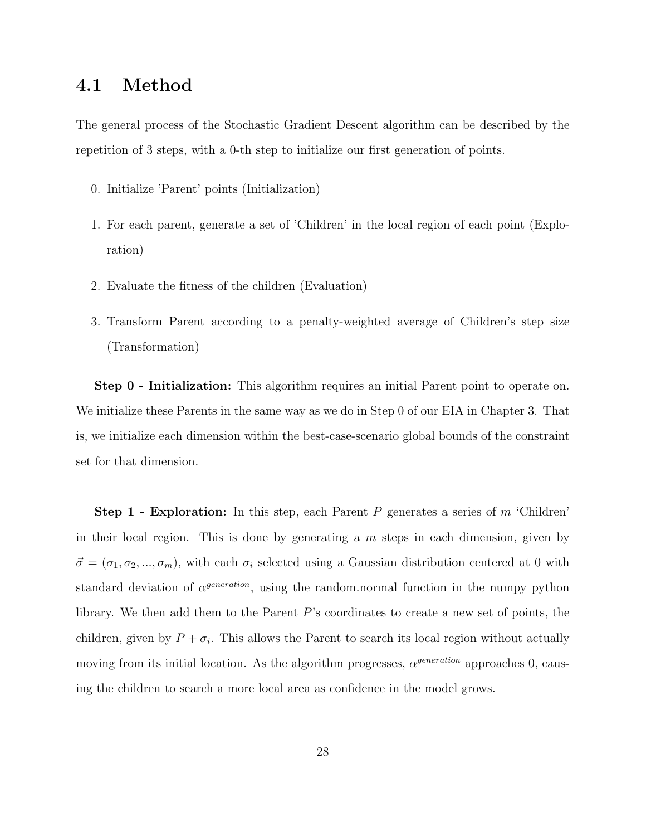### 4.1 Method

The general process of the Stochastic Gradient Descent algorithm can be described by the repetition of 3 steps, with a 0-th step to initialize our first generation of points.

- 0. Initialize 'Parent' points (Initialization)
- 1. For each parent, generate a set of 'Children' in the local region of each point (Exploration)
- 2. Evaluate the fitness of the children (Evaluation)
- 3. Transform Parent according to a penalty-weighted average of Children's step size (Transformation)

Step 0 - Initialization: This algorithm requires an initial Parent point to operate on. We initialize these Parents in the same way as we do in Step 0 of our EIA in Chapter 3. That is, we initialize each dimension within the best-case-scenario global bounds of the constraint set for that dimension.

**Step 1 - Exploration:** In this step, each Parent P generates a series of  $m$  'Children' in their local region. This is done by generating a  $m$  steps in each dimension, given by  $\vec{\sigma} = (\sigma_1, \sigma_2, ..., \sigma_m)$ , with each  $\sigma_i$  selected using a Gaussian distribution centered at 0 with standard deviation of  $\alpha^{generation}$ , using the random.normal function in the numpy python library. We then add them to the Parent P's coordinates to create a new set of points, the children, given by  $P + \sigma_i$ . This allows the Parent to search its local region without actually moving from its initial location. As the algorithm progresses,  $\alpha^{generation}$  approaches 0, causing the children to search a more local area as confidence in the model grows.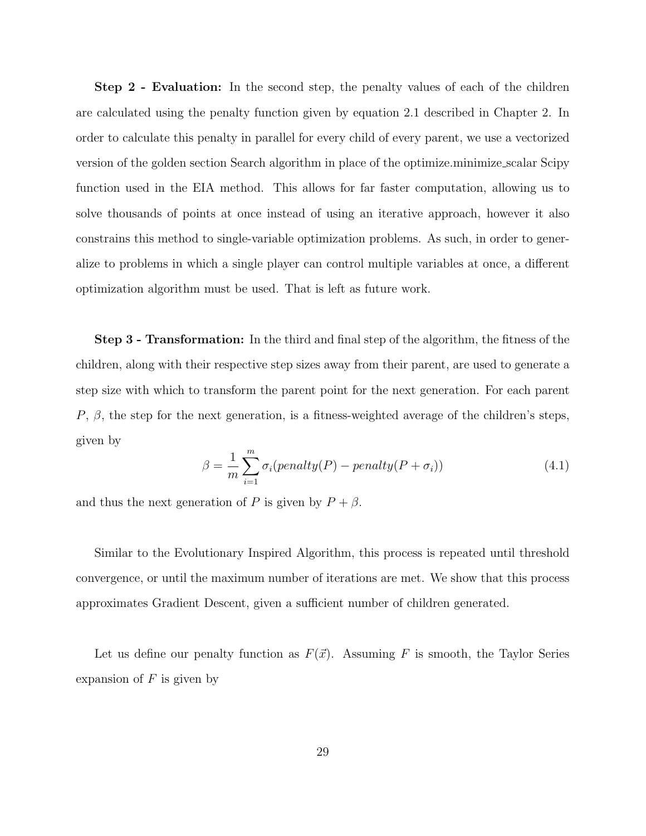Step 2 - Evaluation: In the second step, the penalty values of each of the children are calculated using the penalty function given by equation 2.1 described in Chapter 2. In order to calculate this penalty in parallel for every child of every parent, we use a vectorized version of the golden section Search algorithm in place of the optimize.minimize scalar Scipy function used in the EIA method. This allows for far faster computation, allowing us to solve thousands of points at once instead of using an iterative approach, however it also constrains this method to single-variable optimization problems. As such, in order to generalize to problems in which a single player can control multiple variables at once, a different optimization algorithm must be used. That is left as future work.

Step 3 - Transformation: In the third and final step of the algorithm, the fitness of the children, along with their respective step sizes away from their parent, are used to generate a step size with which to transform the parent point for the next generation. For each parent P,  $\beta$ , the step for the next generation, is a fitness-weighted average of the children's steps, given by

$$
\beta = \frac{1}{m} \sum_{i=1}^{m} \sigma_i(\text{penalty}(P) - \text{penalty}(P + \sigma_i))
$$
\n(4.1)

and thus the next generation of P is given by  $P + \beta$ .

Similar to the Evolutionary Inspired Algorithm, this process is repeated until threshold convergence, or until the maximum number of iterations are met. We show that this process approximates Gradient Descent, given a sufficient number of children generated.

Let us define our penalty function as  $F(\vec{x})$ . Assuming F is smooth, the Taylor Series expansion of  $F$  is given by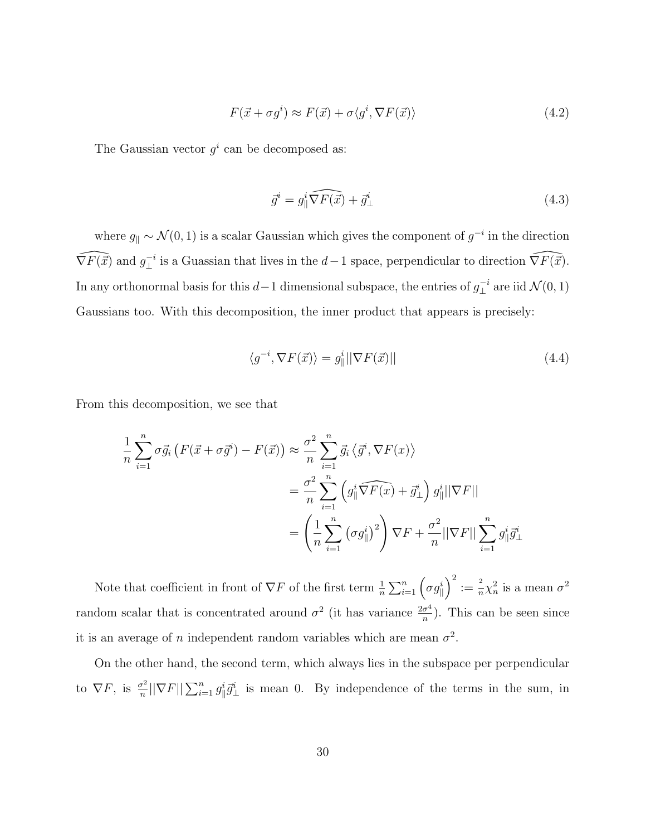$$
F(\vec{x} + \sigma g^i) \approx F(\vec{x}) + \sigma \langle g^i, \nabla F(\vec{x}) \rangle \tag{4.2}
$$

The Gaussian vector  $g^i$  can be decomposed as:

$$
\vec{g}^i = g_{\parallel}^i \widehat{\nabla F(\vec{x})} + \vec{g}_{\perp}^i \tag{4.3}
$$

where  $g_{\parallel} \sim \mathcal{N}(0, 1)$  is a scalar Gaussian which gives the component of  $g^{-i}$  in the direction  $\widehat{\nabla F(\vec{x})}$  and  $g^{-i}$  $\bot$ <sup>i</sup> is a Guassian that lives in the  $d-1$  space, perpendicular to direction  $\widehat{\nabla F(\vec{x})}$ . In any orthonormal basis for this  $d-1$  dimensional subspace, the entries of  $g_{\perp}^{-i}$  $\mathcal{L}^{-i}$  are iid  $\mathcal{N}(0,1)$ Gaussians too. With this decomposition, the inner product that appears is precisely:

$$
\langle g^{-i}, \nabla F(\vec{x}) \rangle = g_{\parallel}^i ||\nabla F(\vec{x})|| \tag{4.4}
$$

From this decomposition, we see that

$$
\frac{1}{n} \sum_{i=1}^{n} \sigma \vec{g}_{i} \left( F(\vec{x} + \sigma \vec{g}^{i}) - F(\vec{x}) \right) \approx \frac{\sigma^{2}}{n} \sum_{i=1}^{n} \vec{g}_{i} \left\langle \vec{g}^{i}, \nabla F(x) \right\rangle
$$
\n
$$
= \frac{\sigma^{2}}{n} \sum_{i=1}^{n} \left( g_{\parallel}^{i} \widehat{\nabla F(x)} + \vec{g}_{\perp}^{i} \right) g_{\parallel}^{i} ||\nabla F||
$$
\n
$$
= \left( \frac{1}{n} \sum_{i=1}^{n} \left( \sigma g_{\parallel}^{i} \right)^{2} \right) \nabla F + \frac{\sigma^{2}}{n} ||\nabla F|| \sum_{i=1}^{n} g_{\parallel}^{i} \vec{g}_{\perp}^{i}
$$

Note that coefficient in front of  $\nabla F$  of the first term  $\frac{1}{n} \sum_{i=1}^{n} (\sigma g_{\parallel}^{i})^2 := \frac{2}{n}$  $\frac{2}{n}\chi_n^2$  is a mean  $\sigma^2$ random scalar that is concentrated around  $\sigma^2$  (it has variance  $\frac{2\sigma^4}{n}$  $\frac{\sigma^4}{n}$ ). This can be seen since it is an average of n independent random variables which are mean  $\sigma^2$ .

On the other hand, the second term, which always lies in the subspace per perpendicular to  $\nabla F$ , is  $\frac{\sigma^2}{n}$  $\frac{\sigma^2}{n}$ || $\nabla F$ || $\sum_{i=1}^n g_{\parallel}^i \vec{g}_{\perp}^i$  is mean 0. By independence of the terms in the sum, in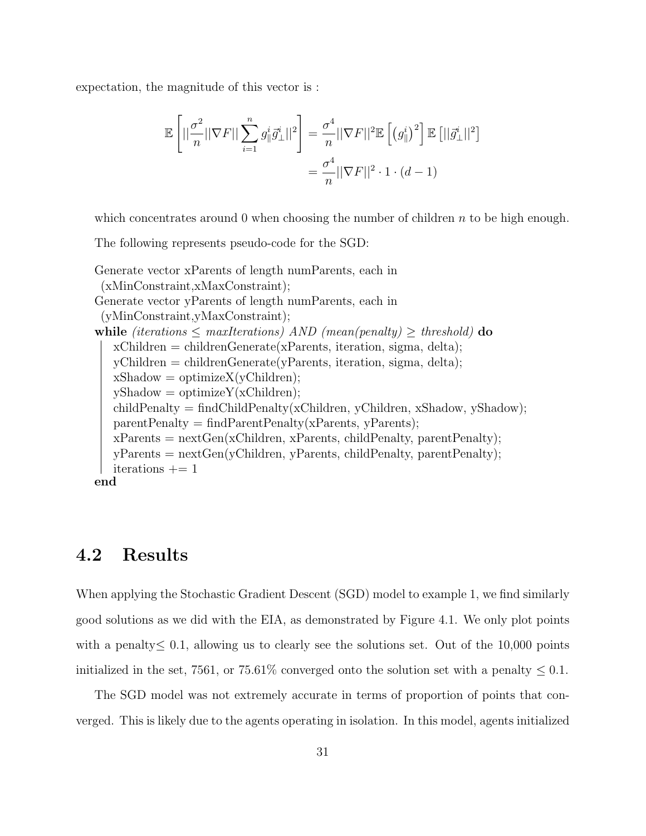expectation, the magnitude of this vector is :

$$
\mathbb{E}\left[||\frac{\sigma^2}{n}||\nabla F||\sum_{i=1}^n g_{\parallel}^i \vec{g}_{\perp}^i||^2\right] = \frac{\sigma^4}{n}||\nabla F||^2 \mathbb{E}\left[\left(g_{\parallel}^i\right)^2\right] \mathbb{E}\left[||\vec{g}_{\perp}^i||^2\right]
$$

$$
= \frac{\sigma^4}{n}||\nabla F||^2 \cdot 1 \cdot (d-1)
$$

which concentrates around 0 when choosing the number of children  $n$  to be high enough.

The following represents pseudo-code for the SGD:

```
Generate vector xParents of length numParents, each in
 (xMinConstraint,xMaxConstraint);
Generate vector yParents of length numParents, each in
 (yMinConstraint,yMaxConstraint);
while (iterations \leq maxIterations) AND (mean(penalty) \geq threshold) do
   xChildren = childrenGenerator(xParents, iteration, sigma, delta);yChildren = childrenGenerate(yParents, iteration, sigma, delta);
   xShadow = optimizeX(yChildren);yShadow = optimizeY(xChildren);childPenalty = findChildPenalty(xChildren, yChildren, xShadow, yShadow);parentPenalty = findParentPenalty(xParents, yParents);xParents = nextGen(xChildren, xParents, childPenalty, parentPenalty);yParents = nextGen(yChildren, yParents, childPenalty, parentPenalty);
  iterations += 1end
```
#### 4.2 Results

When applying the Stochastic Gradient Descent (SGD) model to example 1, we find similarly good solutions as we did with the EIA, as demonstrated by Figure 4.1. We only plot points with a penalty  $\leq 0.1$ , allowing us to clearly see the solutions set. Out of the 10,000 points initialized in the set, 7561, or 75.61% converged onto the solution set with a penalty  $\leq 0.1$ .

The SGD model was not extremely accurate in terms of proportion of points that converged. This is likely due to the agents operating in isolation. In this model, agents initialized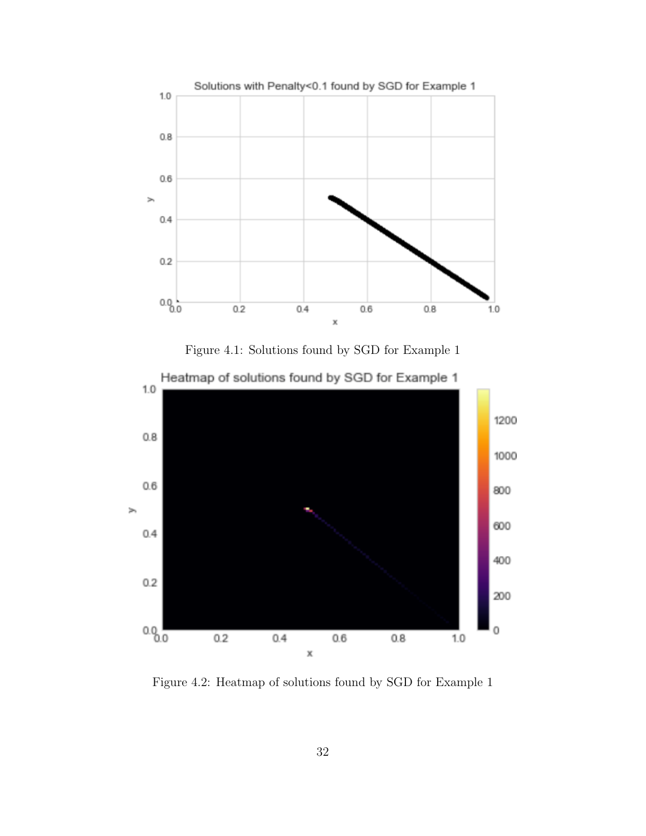





Figure 4.2: Heatmap of solutions found by SGD for Example 1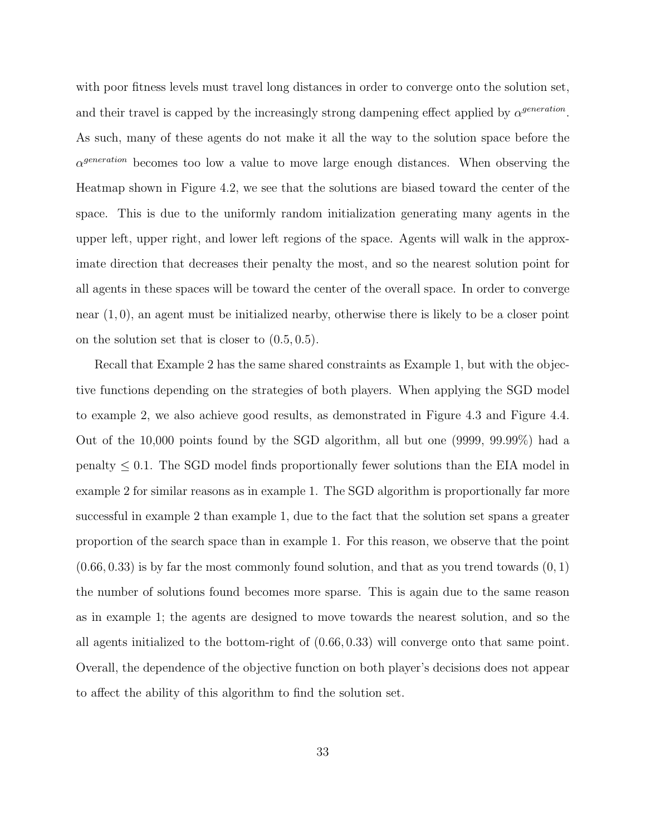with poor fitness levels must travel long distances in order to converge onto the solution set, and their travel is capped by the increasingly strong dampening effect applied by  $\alpha^{generation}$ . As such, many of these agents do not make it all the way to the solution space before the  $\alpha^{generation}$  becomes too low a value to move large enough distances. When observing the Heatmap shown in Figure 4.2, we see that the solutions are biased toward the center of the space. This is due to the uniformly random initialization generating many agents in the upper left, upper right, and lower left regions of the space. Agents will walk in the approximate direction that decreases their penalty the most, and so the nearest solution point for all agents in these spaces will be toward the center of the overall space. In order to converge near (1, 0), an agent must be initialized nearby, otherwise there is likely to be a closer point on the solution set that is closer to (0.5, 0.5).

Recall that Example 2 has the same shared constraints as Example 1, but with the objective functions depending on the strategies of both players. When applying the SGD model to example 2, we also achieve good results, as demonstrated in Figure 4.3 and Figure 4.4. Out of the 10,000 points found by the SGD algorithm, all but one (9999, 99.99%) had a  $p_{\text{enalty}} \leq 0.1$ . The SGD model finds proportionally fewer solutions than the EIA model in example 2 for similar reasons as in example 1. The SGD algorithm is proportionally far more successful in example 2 than example 1, due to the fact that the solution set spans a greater proportion of the search space than in example 1. For this reason, we observe that the point  $(0.66, 0.33)$  is by far the most commonly found solution, and that as you trend towards  $(0, 1)$ the number of solutions found becomes more sparse. This is again due to the same reason as in example 1; the agents are designed to move towards the nearest solution, and so the all agents initialized to the bottom-right of (0.66, 0.33) will converge onto that same point. Overall, the dependence of the objective function on both player's decisions does not appear to affect the ability of this algorithm to find the solution set.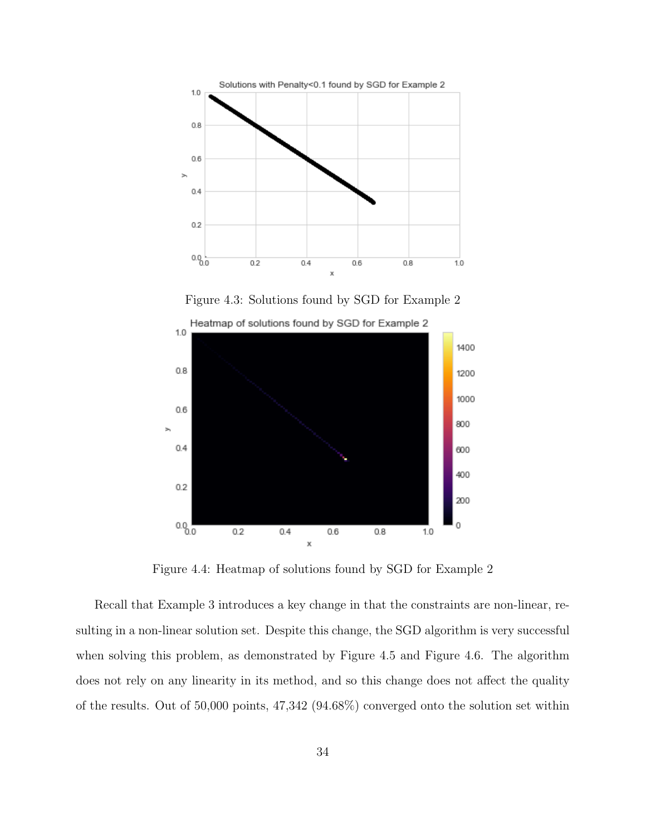

Figure 4.3: Solutions found by SGD for Example 2



Figure 4.4: Heatmap of solutions found by SGD for Example 2

Recall that Example 3 introduces a key change in that the constraints are non-linear, resulting in a non-linear solution set. Despite this change, the SGD algorithm is very successful when solving this problem, as demonstrated by Figure 4.5 and Figure 4.6. The algorithm does not rely on any linearity in its method, and so this change does not affect the quality of the results. Out of 50,000 points, 47,342 (94.68%) converged onto the solution set within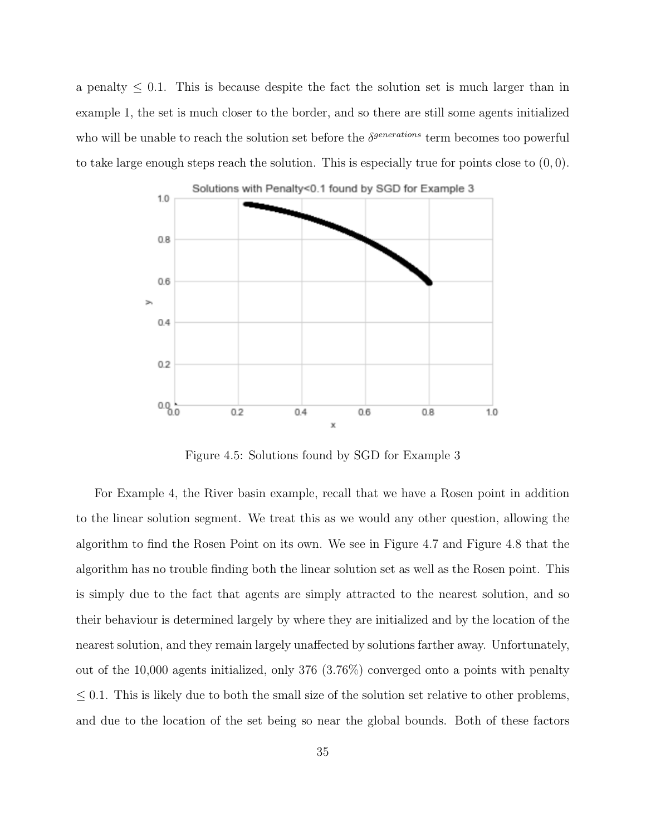a penalty  $\leq 0.1$ . This is because despite the fact the solution set is much larger than in example 1, the set is much closer to the border, and so there are still some agents initialized who will be unable to reach the solution set before the  $\delta^{generations}$  term becomes too powerful to take large enough steps reach the solution. This is especially true for points close to  $(0, 0)$ .



Figure 4.5: Solutions found by SGD for Example 3

For Example 4, the River basin example, recall that we have a Rosen point in addition to the linear solution segment. We treat this as we would any other question, allowing the algorithm to find the Rosen Point on its own. We see in Figure 4.7 and Figure 4.8 that the algorithm has no trouble finding both the linear solution set as well as the Rosen point. This is simply due to the fact that agents are simply attracted to the nearest solution, and so their behaviour is determined largely by where they are initialized and by the location of the nearest solution, and they remain largely unaffected by solutions farther away. Unfortunately, out of the 10,000 agents initialized, only 376 (3.76%) converged onto a points with penalty  $\leq$  0.1. This is likely due to both the small size of the solution set relative to other problems, and due to the location of the set being so near the global bounds. Both of these factors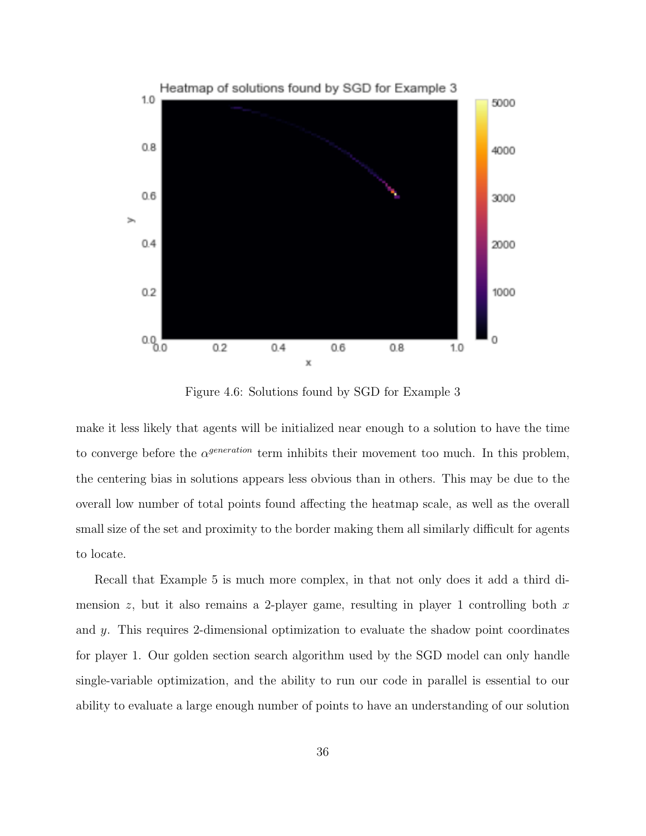

Figure 4.6: Solutions found by SGD for Example 3

make it less likely that agents will be initialized near enough to a solution to have the time to converge before the  $\alpha^{generation}$  term inhibits their movement too much. In this problem, the centering bias in solutions appears less obvious than in others. This may be due to the overall low number of total points found affecting the heatmap scale, as well as the overall small size of the set and proximity to the border making them all similarly difficult for agents to locate.

Recall that Example 5 is much more complex, in that not only does it add a third dimension z, but it also remains a 2-player game, resulting in player 1 controlling both  $x$ and y. This requires 2-dimensional optimization to evaluate the shadow point coordinates for player 1. Our golden section search algorithm used by the SGD model can only handle single-variable optimization, and the ability to run our code in parallel is essential to our ability to evaluate a large enough number of points to have an understanding of our solution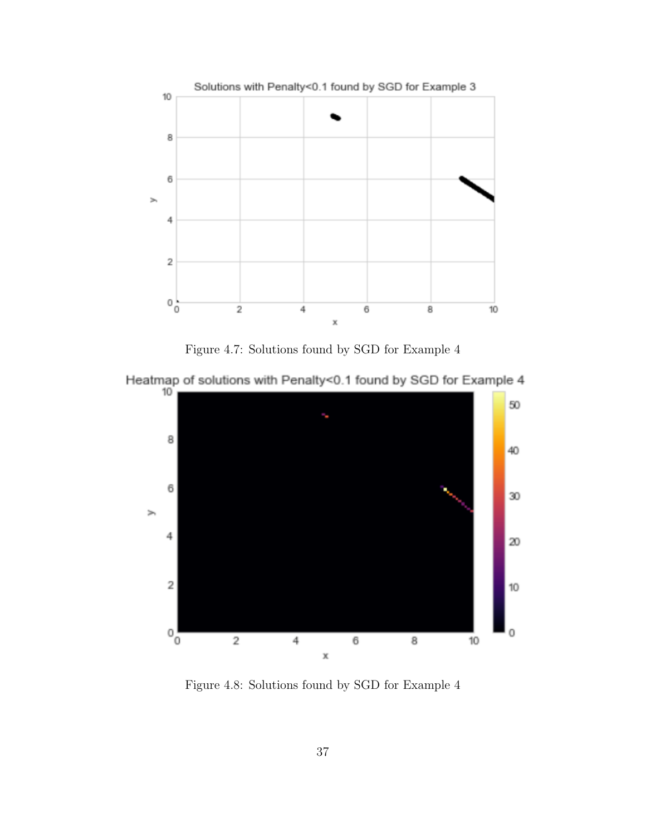

Figure 4.7: Solutions found by SGD for Example 4





Figure 4.8: Solutions found by SGD for Example 4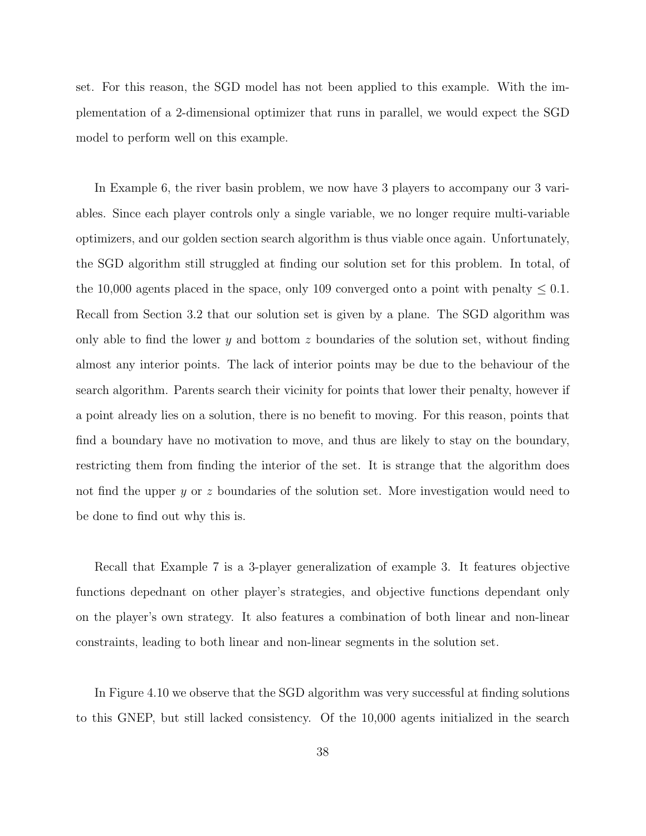set. For this reason, the SGD model has not been applied to this example. With the implementation of a 2-dimensional optimizer that runs in parallel, we would expect the SGD model to perform well on this example.

In Example 6, the river basin problem, we now have 3 players to accompany our 3 variables. Since each player controls only a single variable, we no longer require multi-variable optimizers, and our golden section search algorithm is thus viable once again. Unfortunately, the SGD algorithm still struggled at finding our solution set for this problem. In total, of the 10,000 agents placed in the space, only 109 converged onto a point with penalty  $\leq 0.1$ . Recall from Section 3.2 that our solution set is given by a plane. The SGD algorithm was only able to find the lower y and bottom z boundaries of the solution set, without finding almost any interior points. The lack of interior points may be due to the behaviour of the search algorithm. Parents search their vicinity for points that lower their penalty, however if a point already lies on a solution, there is no benefit to moving. For this reason, points that find a boundary have no motivation to move, and thus are likely to stay on the boundary, restricting them from finding the interior of the set. It is strange that the algorithm does not find the upper y or z boundaries of the solution set. More investigation would need to be done to find out why this is.

Recall that Example 7 is a 3-player generalization of example 3. It features objective functions depednant on other player's strategies, and objective functions dependant only on the player's own strategy. It also features a combination of both linear and non-linear constraints, leading to both linear and non-linear segments in the solution set.

In Figure 4.10 we observe that the SGD algorithm was very successful at finding solutions to this GNEP, but still lacked consistency. Of the 10,000 agents initialized in the search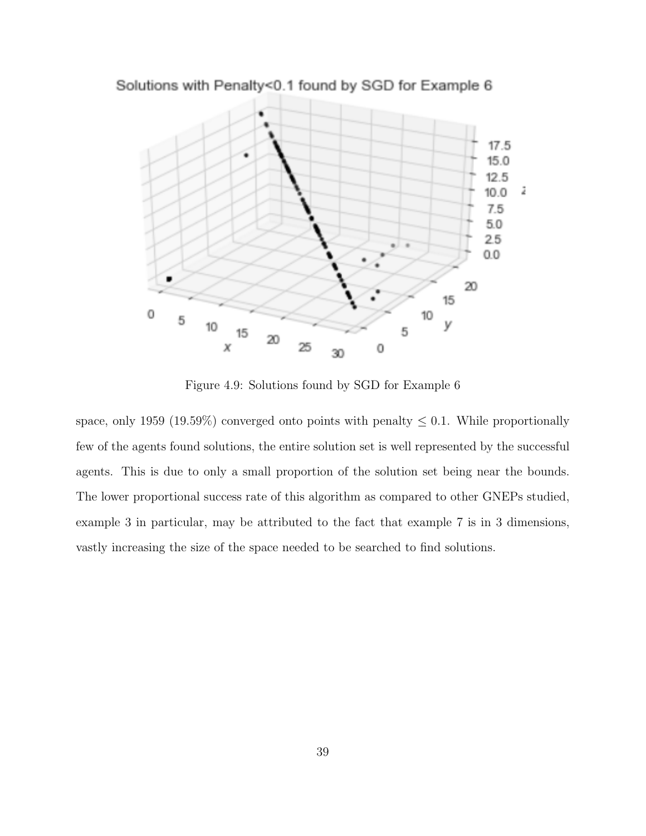

Solutions with Penalty<0.1 found by SGD for Example 6

Figure 4.9: Solutions found by SGD for Example 6

space, only 1959 (19.59%) converged onto points with penalty  $\leq 0.1$ . While proportionally few of the agents found solutions, the entire solution set is well represented by the successful agents. This is due to only a small proportion of the solution set being near the bounds. The lower proportional success rate of this algorithm as compared to other GNEPs studied, example 3 in particular, may be attributed to the fact that example 7 is in 3 dimensions, vastly increasing the size of the space needed to be searched to find solutions.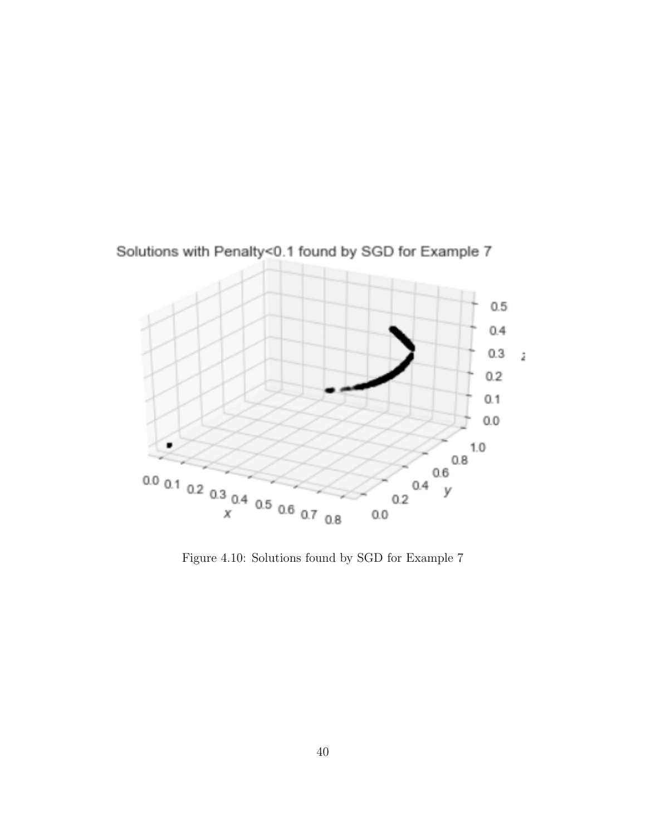

Solutions with Penalty<0.1 found by SGD for Example 7

Figure 4.10: Solutions found by SGD for Example 7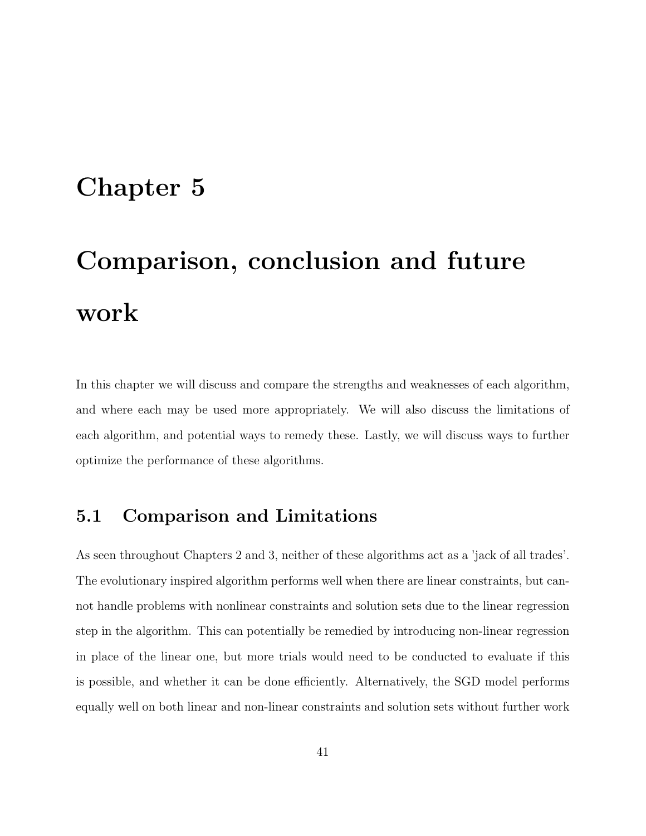### Chapter 5

# Comparison, conclusion and future work

In this chapter we will discuss and compare the strengths and weaknesses of each algorithm, and where each may be used more appropriately. We will also discuss the limitations of each algorithm, and potential ways to remedy these. Lastly, we will discuss ways to further optimize the performance of these algorithms.

### 5.1 Comparison and Limitations

As seen throughout Chapters 2 and 3, neither of these algorithms act as a 'jack of all trades'. The evolutionary inspired algorithm performs well when there are linear constraints, but cannot handle problems with nonlinear constraints and solution sets due to the linear regression step in the algorithm. This can potentially be remedied by introducing non-linear regression in place of the linear one, but more trials would need to be conducted to evaluate if this is possible, and whether it can be done efficiently. Alternatively, the SGD model performs equally well on both linear and non-linear constraints and solution sets without further work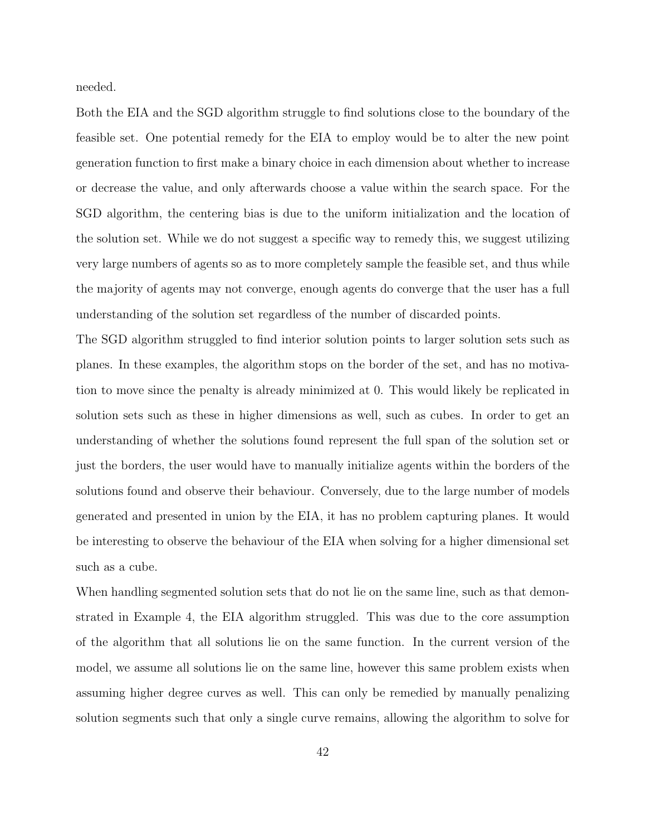needed.

Both the EIA and the SGD algorithm struggle to find solutions close to the boundary of the feasible set. One potential remedy for the EIA to employ would be to alter the new point generation function to first make a binary choice in each dimension about whether to increase or decrease the value, and only afterwards choose a value within the search space. For the SGD algorithm, the centering bias is due to the uniform initialization and the location of the solution set. While we do not suggest a specific way to remedy this, we suggest utilizing very large numbers of agents so as to more completely sample the feasible set, and thus while the majority of agents may not converge, enough agents do converge that the user has a full understanding of the solution set regardless of the number of discarded points.

The SGD algorithm struggled to find interior solution points to larger solution sets such as planes. In these examples, the algorithm stops on the border of the set, and has no motivation to move since the penalty is already minimized at 0. This would likely be replicated in solution sets such as these in higher dimensions as well, such as cubes. In order to get an understanding of whether the solutions found represent the full span of the solution set or just the borders, the user would have to manually initialize agents within the borders of the solutions found and observe their behaviour. Conversely, due to the large number of models generated and presented in union by the EIA, it has no problem capturing planes. It would be interesting to observe the behaviour of the EIA when solving for a higher dimensional set such as a cube.

When handling segmented solution sets that do not lie on the same line, such as that demonstrated in Example 4, the EIA algorithm struggled. This was due to the core assumption of the algorithm that all solutions lie on the same function. In the current version of the model, we assume all solutions lie on the same line, however this same problem exists when assuming higher degree curves as well. This can only be remedied by manually penalizing solution segments such that only a single curve remains, allowing the algorithm to solve for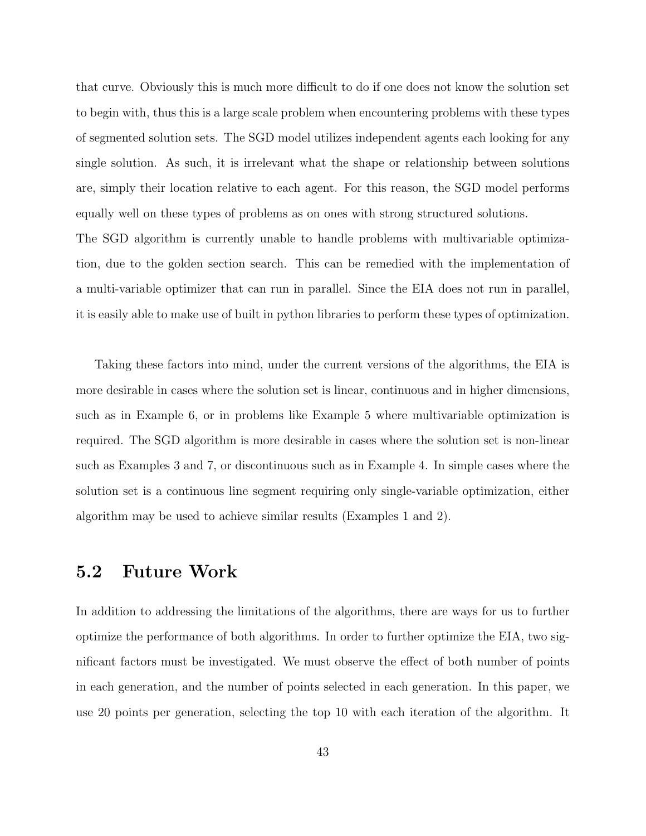that curve. Obviously this is much more difficult to do if one does not know the solution set to begin with, thus this is a large scale problem when encountering problems with these types of segmented solution sets. The SGD model utilizes independent agents each looking for any single solution. As such, it is irrelevant what the shape or relationship between solutions are, simply their location relative to each agent. For this reason, the SGD model performs equally well on these types of problems as on ones with strong structured solutions. The SGD algorithm is currently unable to handle problems with multivariable optimiza-

tion, due to the golden section search. This can be remedied with the implementation of a multi-variable optimizer that can run in parallel. Since the EIA does not run in parallel, it is easily able to make use of built in python libraries to perform these types of optimization.

Taking these factors into mind, under the current versions of the algorithms, the EIA is more desirable in cases where the solution set is linear, continuous and in higher dimensions, such as in Example 6, or in problems like Example 5 where multivariable optimization is required. The SGD algorithm is more desirable in cases where the solution set is non-linear such as Examples 3 and 7, or discontinuous such as in Example 4. In simple cases where the solution set is a continuous line segment requiring only single-variable optimization, either algorithm may be used to achieve similar results (Examples 1 and 2).

#### 5.2 Future Work

In addition to addressing the limitations of the algorithms, there are ways for us to further optimize the performance of both algorithms. In order to further optimize the EIA, two significant factors must be investigated. We must observe the effect of both number of points in each generation, and the number of points selected in each generation. In this paper, we use 20 points per generation, selecting the top 10 with each iteration of the algorithm. It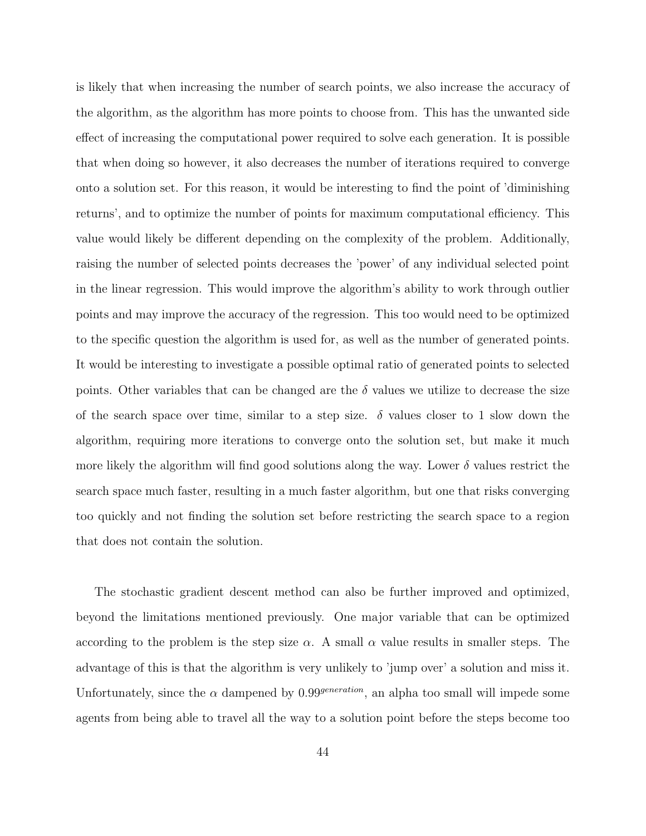is likely that when increasing the number of search points, we also increase the accuracy of the algorithm, as the algorithm has more points to choose from. This has the unwanted side effect of increasing the computational power required to solve each generation. It is possible that when doing so however, it also decreases the number of iterations required to converge onto a solution set. For this reason, it would be interesting to find the point of 'diminishing returns', and to optimize the number of points for maximum computational efficiency. This value would likely be different depending on the complexity of the problem. Additionally, raising the number of selected points decreases the 'power' of any individual selected point in the linear regression. This would improve the algorithm's ability to work through outlier points and may improve the accuracy of the regression. This too would need to be optimized to the specific question the algorithm is used for, as well as the number of generated points. It would be interesting to investigate a possible optimal ratio of generated points to selected points. Other variables that can be changed are the  $\delta$  values we utilize to decrease the size of the search space over time, similar to a step size.  $\delta$  values closer to 1 slow down the algorithm, requiring more iterations to converge onto the solution set, but make it much more likely the algorithm will find good solutions along the way. Lower  $\delta$  values restrict the search space much faster, resulting in a much faster algorithm, but one that risks converging too quickly and not finding the solution set before restricting the search space to a region that does not contain the solution.

The stochastic gradient descent method can also be further improved and optimized, beyond the limitations mentioned previously. One major variable that can be optimized according to the problem is the step size  $\alpha$ . A small  $\alpha$  value results in smaller steps. The advantage of this is that the algorithm is very unlikely to 'jump over' a solution and miss it. Unfortunately, since the  $\alpha$  dampened by 0.99<sup>generation</sup>, an alpha too small will impede some agents from being able to travel all the way to a solution point before the steps become too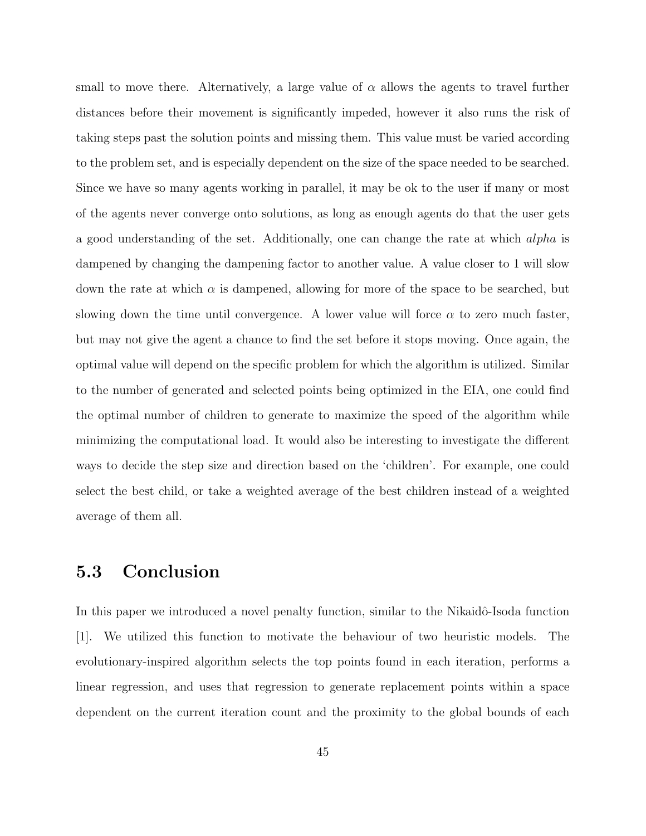small to move there. Alternatively, a large value of  $\alpha$  allows the agents to travel further distances before their movement is significantly impeded, however it also runs the risk of taking steps past the solution points and missing them. This value must be varied according to the problem set, and is especially dependent on the size of the space needed to be searched. Since we have so many agents working in parallel, it may be ok to the user if many or most of the agents never converge onto solutions, as long as enough agents do that the user gets a good understanding of the set. Additionally, one can change the rate at which alpha is dampened by changing the dampening factor to another value. A value closer to 1 will slow down the rate at which  $\alpha$  is dampened, allowing for more of the space to be searched, but slowing down the time until convergence. A lower value will force  $\alpha$  to zero much faster, but may not give the agent a chance to find the set before it stops moving. Once again, the optimal value will depend on the specific problem for which the algorithm is utilized. Similar to the number of generated and selected points being optimized in the EIA, one could find the optimal number of children to generate to maximize the speed of the algorithm while minimizing the computational load. It would also be interesting to investigate the different ways to decide the step size and direction based on the 'children'. For example, one could select the best child, or take a weighted average of the best children instead of a weighted average of them all.

### 5.3 Conclusion

In this paper we introduced a novel penalty function, similar to the Nikaidô-Isoda function [1]. We utilized this function to motivate the behaviour of two heuristic models. The evolutionary-inspired algorithm selects the top points found in each iteration, performs a linear regression, and uses that regression to generate replacement points within a space dependent on the current iteration count and the proximity to the global bounds of each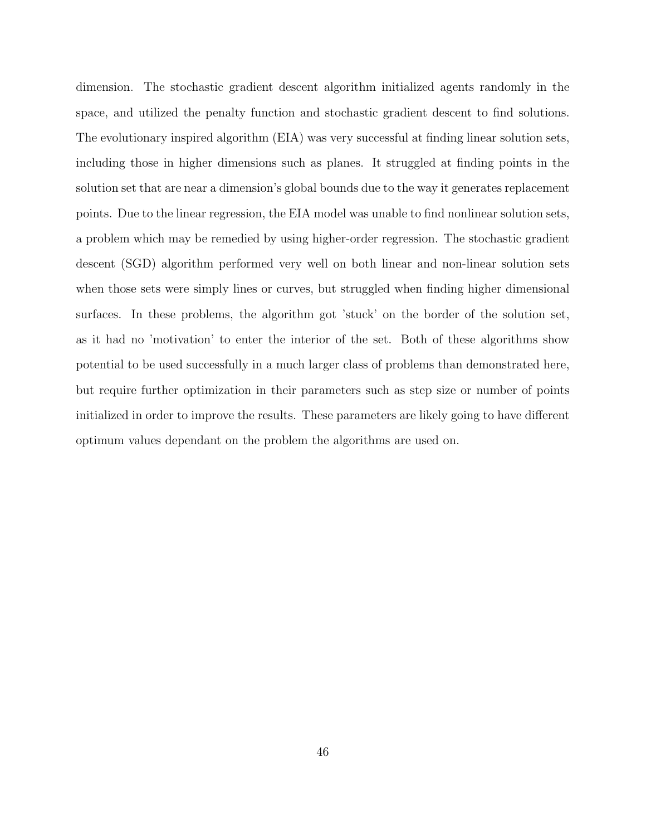dimension. The stochastic gradient descent algorithm initialized agents randomly in the space, and utilized the penalty function and stochastic gradient descent to find solutions. The evolutionary inspired algorithm (EIA) was very successful at finding linear solution sets, including those in higher dimensions such as planes. It struggled at finding points in the solution set that are near a dimension's global bounds due to the way it generates replacement points. Due to the linear regression, the EIA model was unable to find nonlinear solution sets, a problem which may be remedied by using higher-order regression. The stochastic gradient descent (SGD) algorithm performed very well on both linear and non-linear solution sets when those sets were simply lines or curves, but struggled when finding higher dimensional surfaces. In these problems, the algorithm got 'stuck' on the border of the solution set, as it had no 'motivation' to enter the interior of the set. Both of these algorithms show potential to be used successfully in a much larger class of problems than demonstrated here, but require further optimization in their parameters such as step size or number of points initialized in order to improve the results. These parameters are likely going to have different optimum values dependant on the problem the algorithms are used on.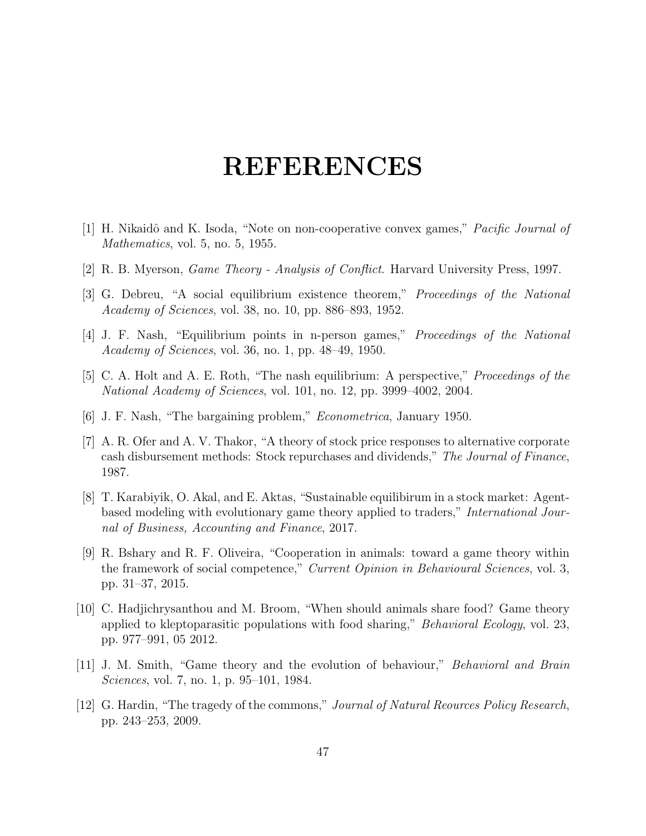### REFERENCES

- [1] H. Nikaidô and K. Isoda, "Note on non-cooperative convex games," *Pacific Journal of* Mathematics, vol. 5, no. 5, 1955.
- [2] R. B. Myerson, Game Theory Analysis of Conflict. Harvard University Press, 1997.
- [3] G. Debreu, "A social equilibrium existence theorem," Proceedings of the National Academy of Sciences, vol. 38, no. 10, pp. 886–893, 1952.
- [4] J. F. Nash, "Equilibrium points in n-person games," Proceedings of the National Academy of Sciences, vol. 36, no. 1, pp. 48–49, 1950.
- [5] C. A. Holt and A. E. Roth, "The nash equilibrium: A perspective," Proceedings of the National Academy of Sciences, vol. 101, no. 12, pp. 3999–4002, 2004.
- [6] J. F. Nash, "The bargaining problem," Econometrica, January 1950.
- [7] A. R. Ofer and A. V. Thakor, "A theory of stock price responses to alternative corporate cash disbursement methods: Stock repurchases and dividends," The Journal of Finance, 1987.
- [8] T. Karabiyik, O. Akal, and E. Aktas, "Sustainable equilibirum in a stock market: Agentbased modeling with evolutionary game theory applied to traders," International Journal of Business, Accounting and Finance, 2017.
- [9] R. Bshary and R. F. Oliveira, "Cooperation in animals: toward a game theory within the framework of social competence," Current Opinion in Behavioural Sciences, vol. 3, pp. 31–37, 2015.
- [10] C. Hadjichrysanthou and M. Broom, "When should animals share food? Game theory applied to kleptoparasitic populations with food sharing," *Behavioral Ecology*, vol. 23, pp. 977–991, 05 2012.
- [11] J. M. Smith, "Game theory and the evolution of behaviour," Behavioral and Brain Sciences, vol. 7, no. 1, p. 95–101, 1984.
- [12] G. Hardin, "The tragedy of the commons," Journal of Natural Reources Policy Research, pp. 243–253, 2009.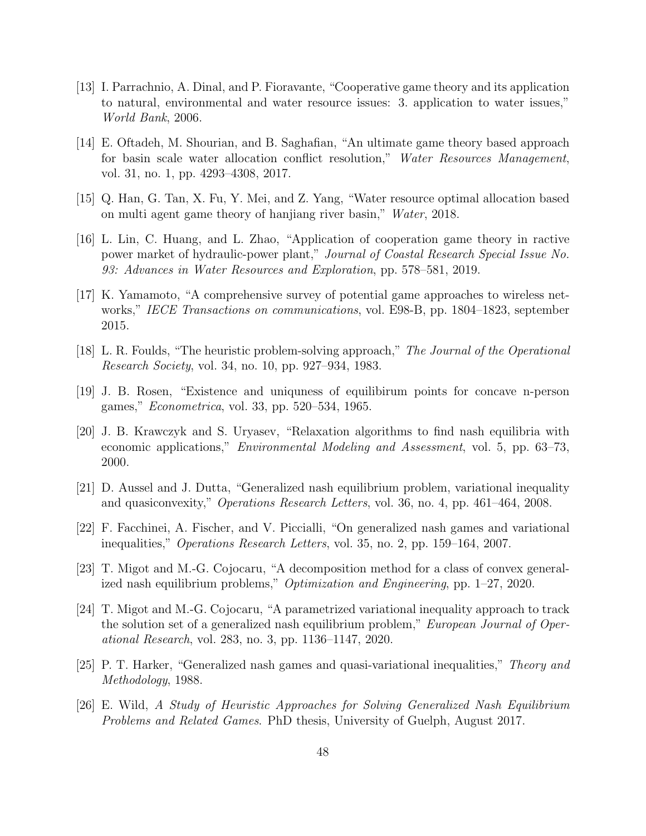- [13] I. Parrachnio, A. Dinal, and P. Fioravante, "Cooperative game theory and its application to natural, environmental and water resource issues: 3. application to water issues," World Bank, 2006.
- [14] E. Oftadeh, M. Shourian, and B. Saghafian, "An ultimate game theory based approach for basin scale water allocation conflict resolution," Water Resources Management, vol. 31, no. 1, pp. 4293–4308, 2017.
- [15] Q. Han, G. Tan, X. Fu, Y. Mei, and Z. Yang, "Water resource optimal allocation based on multi agent game theory of hanjiang river basin," Water, 2018.
- [16] L. Lin, C. Huang, and L. Zhao, "Application of cooperation game theory in ractive power market of hydraulic-power plant," Journal of Coastal Research Special Issue No. 93: Advances in Water Resources and Exploration, pp. 578–581, 2019.
- [17] K. Yamamoto, "A comprehensive survey of potential game approaches to wireless networks," IECE Transactions on communications, vol. E98-B, pp. 1804–1823, september 2015.
- [18] L. R. Foulds, "The heuristic problem-solving approach," The Journal of the Operational Research Society, vol. 34, no. 10, pp. 927–934, 1983.
- [19] J. B. Rosen, "Existence and uniquness of equilibirum points for concave n-person games," Econometrica, vol. 33, pp. 520–534, 1965.
- [20] J. B. Krawczyk and S. Uryasev, "Relaxation algorithms to find nash equilibria with economic applications," Environmental Modeling and Assessment, vol. 5, pp. 63–73, 2000.
- [21] D. Aussel and J. Dutta, "Generalized nash equilibrium problem, variational inequality and quasiconvexity," Operations Research Letters, vol. 36, no. 4, pp. 461–464, 2008.
- [22] F. Facchinei, A. Fischer, and V. Piccialli, "On generalized nash games and variational inequalities," Operations Research Letters, vol. 35, no. 2, pp. 159–164, 2007.
- [23] T. Migot and M.-G. Cojocaru, "A decomposition method for a class of convex generalized nash equilibrium problems," Optimization and Engineering, pp. 1–27, 2020.
- [24] T. Migot and M.-G. Cojocaru, "A parametrized variational inequality approach to track the solution set of a generalized nash equilibrium problem," European Journal of Operational Research, vol. 283, no. 3, pp. 1136–1147, 2020.
- [25] P. T. Harker, "Generalized nash games and quasi-variational inequalities," Theory and Methodology, 1988.
- [26] E. Wild, A Study of Heuristic Approaches for Solving Generalized Nash Equilibrium Problems and Related Games. PhD thesis, University of Guelph, August 2017.